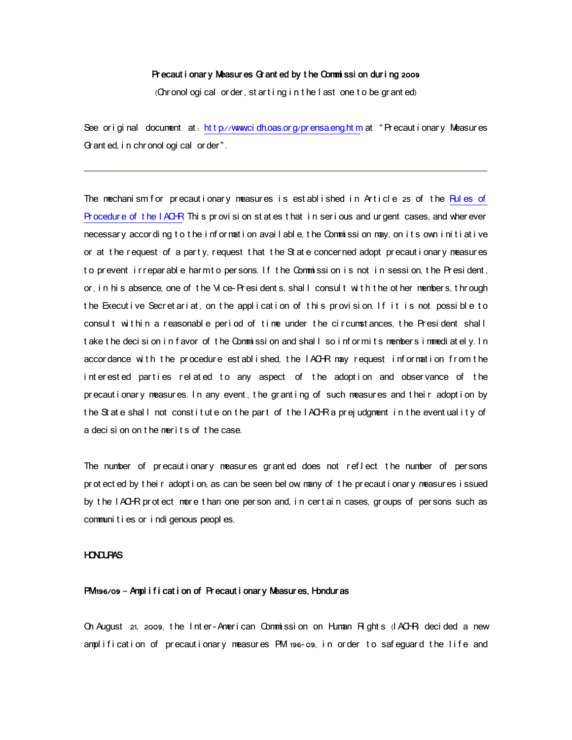#### Precaut i onary Measures Gr anted by the Commissi on during 2009

(Ohr onol ogi cal or der, st arting in the last one to be granted)

See or i gi nal document at: ht t p.//www.cidh.oas.org/pr ensa.eng.ht m at " Pr ecaut i onar y Measur es Gr ant ed, in chr onol ogi cal or der".

The mechanism for precautionary measures is established in Article 25 of the Rules of Pr ocedure of the I ACHR. This provision states that in serious and urgent cases, and wherever necessary according to the information available, the Commission may, on its own initiative or at the request of a party, request that the  $St$  ate concerned adopt precautionary measures to prevent i rreparable harm to persons. If the Commission is not in session, the President, or, in his absence, one of the Vice Presidents, shall consult with the other members, through the Executive Secretariat, on the application of this provision. If it is not possible to consult within a reasonable period of time under the circumstances, the President shall t ake the decision in favor of the Commission and shall so informits members immediately. In accor dance with the procedure est ablished, the IACHR may request information from the interested parties related to any aspect of the adoption and observance of the pr ecaut i onary measur es. In any event, the gr ant i ng of such measur es and their adopt i on by the St at e shall not constitute on the part of the IACHR a prejudgment in the eventuality of a decision on the merits of the case

The number of precautionary measures granted does not reflect the number of persons pr ot ect ed by t heir adopt i on, as can be seen bel ow many of t he precaut i onary measures i ssued by the IACHR protect more than one per son and, in certain cases, groups of per sons such as communi t i es or i ndi genous peopl es.

# **HONDURAS**

# PM 196/09 - Ampl i f i cat i on of Precaut i onary Measures, Honduras

On August 21, 2009, the Inter-Amer i can Commissi on on Human Rights (IACHR) decided a new amplification of precautionary measures PM 196-09, in order to safequard the life and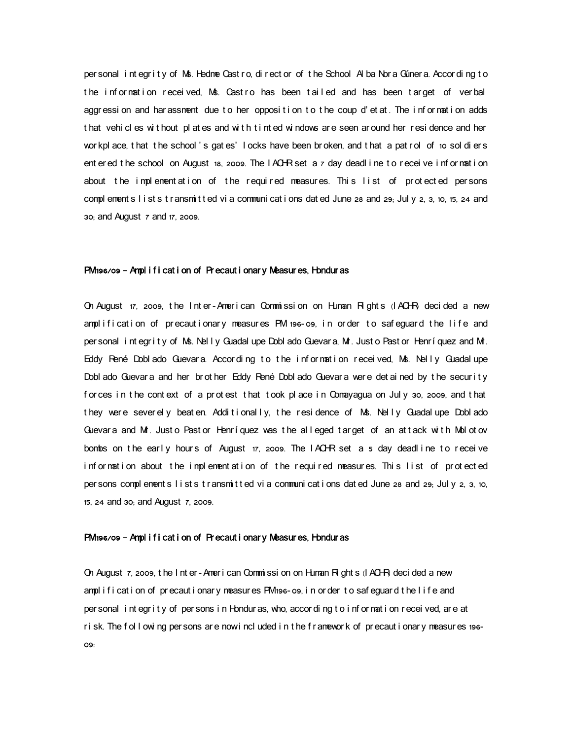per sonal integrity of Ms. Hedme Castro, director of the School Alba Nora Gúnera. According to the information received, Ms. Castro has been tailed and has been target of verbal aggression and harassment due to her opposition to the coup d'etat. The information adds that vehicles without plates and with tinted windows are seen around her residence and her wor kpl ace, t hat the school 's gates' locks have been broken, and t hat a pat rol of 10 sol di ers ent er ed t he school on August 18, 2009. The IACHR set a 7 day deadl i ne t o r ecei ve i nf or mati on about the implementation of the required measures. This list of protected persons complements lists transmitted via communications dated June 28 and 29; July 2, 3, 10, 15, 24 and 30; and August 7 and 17, 2009.

## PM 196/09 - Ampl i f i cat i on of Precaut i onary Measures, Honduras

On August  $\pi$ , 2009, the Inter-American Commission on Human Rights  $\Lambda$ CHR decided a new amplification of precautionary measures PM 196-09, in order to safeguard the life and per sonal int egrity of Ms. Nelly Guadalupe Doblado Guevara, Mr. Just o Past or Henríquez and Mr. Eddy René Doblado Guevara. According to the information received, Ms. Nelly Guadalupe Dobl ado Guevara and her brother Eddy René Dobl ado Guevara were det ai ned by the security for ces in the context of a protest that took place in Conayagua on July 30, 2009, and that they were severely beaten. Additionally, the residence of Ms. Nelly Guadalupe Doblado Guevara and M . Justo Pastor Henríquez was the all eged target of an attack with Molotov bombs on the early hours of August  $17$ , 2009. The IACHR set a 5 day deadline to receive information about the implementation of the required measures. This list of protected per sons complements lists transmitted via communications dated June 28 and 29; July 2, 3, 10, 15, 24 and 30; and August 7, 2009.

#### PM 196/09 – Ampl i f i cat i on of Precaut i onary Measures, Honduras

On August 7, 2009, the Inter-American Commission on Human Rights (IACHR decided a new amplification of precautionary measures PM 196-09, in order to safeguard the life and per sonal int egr i t y of per sons in Hondur as, who, accor ding t o information received, are at r i sk. The f ol l owi ng per sons ar e now i ncl uded i n t he f r an ewor k of pr ecaut i onar y measur es 196-09: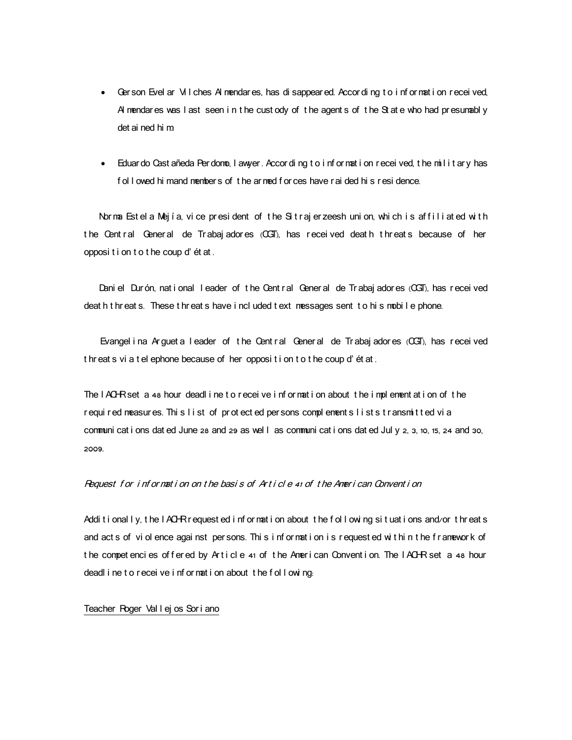- Ger son Evel ar Vil ches Al mendares, has di sappear ed. Accor di ng t o i nf or mat i on r ecei ved, Al mendar es was I ast seen in the cust ody of the agent s of the St at e who had presumably det ai ned hi m.
- Eduar do Cast añeda Per domo, I awyer. Accor di ng t o i nf or mat i on r ecei ved, t he mil i t ar y has f ol I owed hi mand nember s of the ar ned f or ces have r ai ded hi s r esi dence.

Norma Est el a Mejía, vice president of the Sitrajer zeesh union, which is affiliated with t he Cent ral General de Trabaj adores (CGT), has recei ved deat h t hreat s because of her opposi t i on t o t he coup d' ét at .

Dani el Dur ón, nat i onal I eader of t he Cent r al Gener al de Tr abaj ador es (CGT), has r ecei ved deat h t hr eat s. These t hr eat s have i ncl uded t ext messages sent to hi s mobile phone.

Evangel i na Arguet a I eader of the Cent ral General de Trabaj adores (CGT), has received t hr eat s vi a t el ephone because of her opposi t i on t o t he coup d' ét at .

The IACHRset a 48 hour deadl ine to receive information about the implementation of the required measures. This list of protected per sons complements lists transmitted via communi cat i ons dat ed June 28 and 29 as well as communi cat i ons dat ed Jul y 2, 3, 10, 15, 24 and 30, 2009.

## Request for information on the basis of Article 41 of the American Convention

Additionally, the IACHR r equest ed information about the following situations and/or threats and act s of violence against per sons. This information is requested within the framework of the competencies offered by Article 41 of the American Convention. The IACHR set a 48 hour deadl i ne t o r eceive i nf or mat i on about the f ollowing.

#### Teacher Roger Val l ej os Sor i ano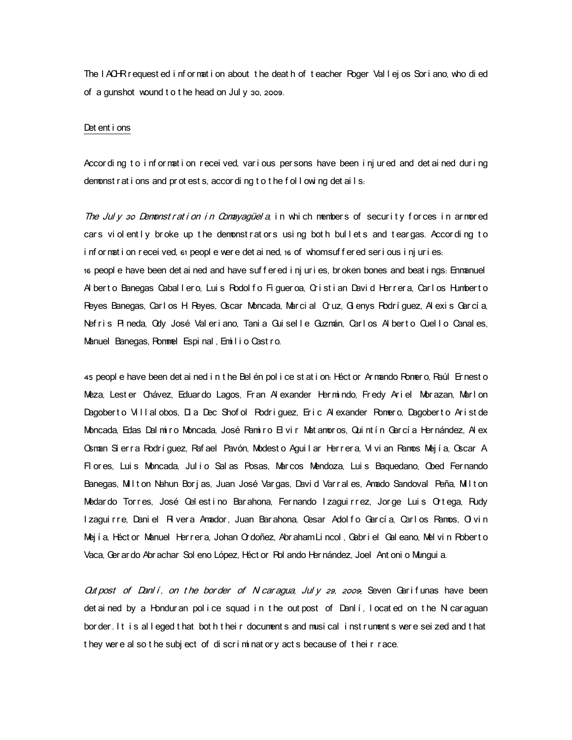The IACHR r equest ed information about the death of teacher Roger Vallejos Soriano, who died of a gunshot wound t o t he head on Jul y 30, 2009.

#### Det ent i ons

Accor ding to information received, various persons have been injured and detained during demonst r at i ons and pr ot est s, accor di ng t o t he f ol  $\vert$  owi ng det ai  $\vert$  s.

The July 30 Demonstration in Comayagüela, in which members of security for ces in armored cars violently broke up the demonstrators using both bullets and teargas. According to i nf or nat i on r ecei ved, 61 peopl e wer e det ai ned, 16 of whomsuf f er ed ser i ous i nj ur i es. 16 peopl e have been det ai ned and have suf f er ed i nj ur i es, br oken bones and beat i ngs. Ennanuel Al berto Banegas Caballero, Luis Rodolfo Figueroa, Cristian David Herrera, Carlos Humberto Reyes Banegas, Carlos H Reyes, Oscar Moncada, Marcial Oruz, Glenys Rodríguez, Alexis García, Nefris Pineda, Ody José Valeriano, Tania Guiselle Guzmán, Carlos Alberto Quello Canales, Manuel Banegas, Rommel Espi nal, Emilio Castro.

45 peopl e have been det ai ned i n t he Bel én pol i ce st at i on. Héct or Ar mando Romer o, Raúl Er nest o Meza, Lest er Chávez, Eduar do Lagos, Fr an Al exander Her mindo, Fr edy Ariel Mor azan, Mar I on Dagobert o Villal obos, Di a Dec Shof ol Rodriguez, Eric Al exander Romero, Dagobert o Arist de Moncada, Edas Dal miro Moncada, José Pamiro El vir Matamoros, Quintín García Hernández, Al ex Osman Si erra Rodríguez, Rafael Pavón, Modesto Aguilar Herrera, Vivian Ramos Mejía, Oscar A Flores, Luis Moncada, Julio Salas Posas, Marcos Mendoza, Luis Baquedano, Obed Fernando Banegas, Milton Nahun Borjas, Juan José Vargas, David Varrales, Amado Sandoval Peña, Milton Medardo Torres, José Celestino Barahona, Fernando Izaguirrez, Jorge Luis Ortega, Rudy Izaguirre, Daniel Rivera Amador, Juan Barahona, Cesar Adolfo García, Carlos Ramos, Ol vin Mejía, Héct or Manuel Herrera, Johan Ordoñez, Abraham Lincol, Gabriel Galeano, Melvin Roberto Vaca, Ger ar do Abr achar Sol eno López, Héct or Rol ando Her nández, Joel Ant oni o Mungui a.

 $Out$  post of Danl i, on the border of Nicar agua, July 29, 2009: Seven Garifunas have been det ai ned by a Hondur an police squad in the out post of  $Dan i$ , locat ed on the N car aguan bor der. It is alleged that both their documents and musical instruments were seized and that they were al so the subject of discriminatory acts because of their race.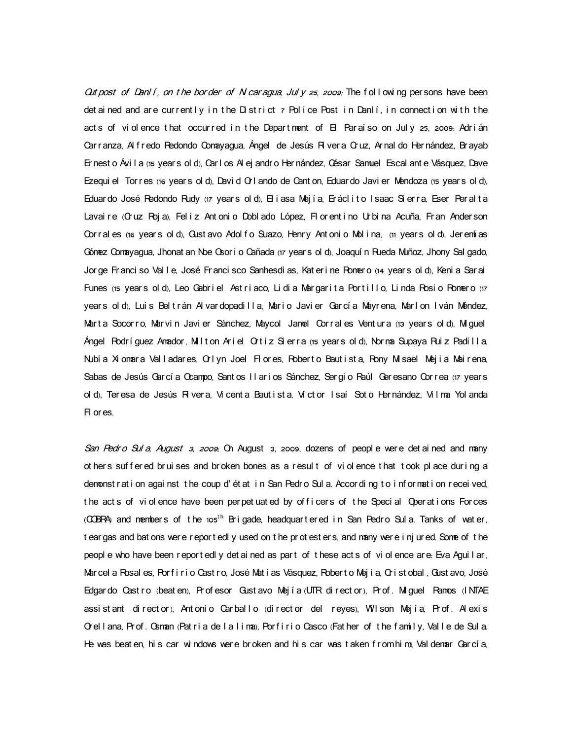Out post of Danl i, on the border of N car agua, Jul y  $25$ , 2009: The following per sons have been det ai ned and are current ly in the  $D$  strict  $\tau$  Police Post in Danli, in connection with the acts of violence that occurred in the Department of  $\boxminus$  Paraíso on July 25, 2009: Adrián Carranza, Al fredo Redondo Comayagua, Ángel de Jesús Rivera Cruz, Arnal do Hernández, Brayab Er nest o Ávi I a (15 year s ol d), Car I os Al ej andr o Her nández, César Samuel Escal ant e Vásquez, Dave Ezequi el Tor r es (16 year s ol d), Davi d O I ando de Cant on, Eduar do Javi er Mendoza (15 year s ol d), Eduardo José Redondo Rudy (17 years old), El i asa Mejía, Eráclito Isaac Sierra, Eser Peralta Lavai re (Cruz Roj a), Fel i z Ant oni o Dobl ado López, Fl or ent i no Urbi na Acuña, Fr an Ander son Corral es (16 years ol d), Gust avo Adol fo Suazo, Henry Ant oni o Mol i na, (11 years ol d), Jeremí as Gónez Conayagua, Jhonat an Noe Gsor i o Cañada (17 year s ol d), Joaquí n Rueda Muñoz, Jhony Sal gado, Jor ge Franci so Val I e, José Franci sco Sanhesdi as, Kat er i ne Pomero (14 years ol d), Keni a Sar ai Funes (15 years old), Leo Gabriel Astriaco, Lidia Margarita Portillo, Linda Rosio Romero (17 years old), Luis Beltrán Alvardopadilla, Mario Javier García Mayrena, Marlon Iván Méndez, Marta Socorro, Marvin Javier Sánchez, Maycol Jamel Corrales Ventura (13 years old), Miguel Ángel Rodríguez Amador, Milton Ariel Ortiz Sierra (15 years old), Norma Supaya Ruiz Padilla, Nubia Xi omara Valladares, Orlyn Joel Flores, Roberto Bautista, Rony Misael Mejia Mairena, Sabas de Jesús García Ccampo, Santos II arios Sánchez, Sergio Raúl Geresano Correa (17 years ol d), Ter esa de Jesús Rivera, Vi cent a Baut i st a, Ví ct or I saí Sot o Her nández, Vi l ma Yol anda Fl or es.

San Pedr o Sul a, August 3, 2009; On August 3, 2009, dozens of peopl e were det ai ned and many ot her s suf f er ed br ui ses and br oken bones as a r esul t of vi ol ence t hat t ook pl ace dur i ng a demonst rat i on agai nst the coup d' ét at i n San Pedro Sul a. Accor di ng to i nf or mati on recei ved, the acts of violence have been perpetuated by officers of the Special O perations Forces (COBRA) and members of the 105<sup>th</sup> Brigade, headquartered in San Pedro Sul a. Tanks of water, t ear gas and bat ons wer e r eport edl y used on t he prot est ers, and many were i nj ur ed. Some of t he peopl e who have been r eport edl y det ai ned as part of these act s of vi ol ence ar e Eva Agui I ar, Marcel a Posal es, Porfirio Castro, José Matías Vásquez, Poberto Mejía, Cristobal, Gustavo, José Edgar do Cast ro (beat en), Profesor Gust avo Mejía (UTR di rect or), Prof. Miguel Pamos (INTAE assist ant direct or), Ant onio Carbal lo (direct or del reyes), Wilson Mejía, Prof. Al exis Or el lana, Prof. Osman (Patria de la lima), Porfirio Casco (Father of the family, Valle de Sula. He was beat en his car windows were broken and his car was taken from him. Val demar García.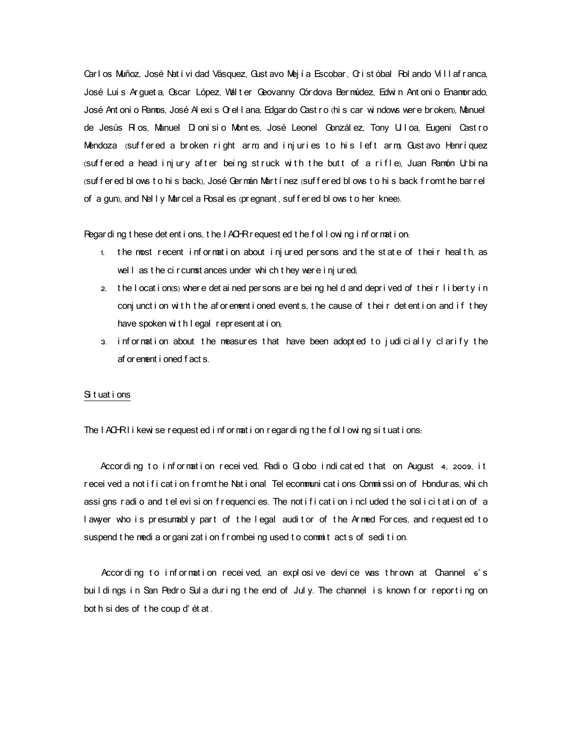Carl os Muñoz, José Natividad Vásquez, Gustavo Mejía Escobar, Cristóbal Rol ando Vill afranca, José Lui s Ar guet a, Oscar López, Wal t er Geovanny Cór dova Bermúdez, Edwi n Ant oni o Enamor ado, José Ant oni o Ramos, José Al exi s Or el I ana, Edgar do Cast r o (hi s car wi ndows were broken), Manuel de Jesús Ríos, Manuel Dionisio Montes, José Leonel Gonzál ez, Tony Ulloa, Eugeni Castro Mendoza (suffered a broken right arm and injuries to his left arm, Gustavo Henríquez (suffered a head injury after being struck with the butt of a rifle), Juan Ramón Urbina ( ), ( suf f er ed bl ows t o hi s back José Ger mán Mar t í nez suf f er ed bl ows t o hi s back f r omt he bar r el of a gun), and Nel I y Marcel a Rosal es (pr egnant, suf f er ed bl ows t o her knee).

Regar di ng t hese det ent i ons, t he  $I$  ACHR r equest ed t he f ol l owing i nf or mat i on.

- 1. the most recent information about injured persons and the state of their heal th, as well as the circumstances under whi ch they were injured;
- 2. the location (s) where det ained per sons are being held and deprived of their liberty in conj unct i on with the af or ement i oned event s, the cause of their det enti on and if they have spoken with I egal represent at i on;
- 3. information about the measures that have been adopted to judicially clarify the af or enent i oned f act s.

# Si t uat i ons

The IACHRI i kewi se r equest ed i nf or mat i on r egar di ng t he f ol I owi ng si t uat i ons.

According to information received, Radio  $G$  obo indicated that on August 4, 2009, it recei ved a not i f i cat i on f r omt he Nat i onal Tel ecommuni cat i ons Commi ssi on of Hondur as, whi ch assi gns radi o and tel evi si on frequenci es. The not i fi cat i on i ncl uded the sol i cit at i on of a lawyer who is presumably part of the legal auditor of the Armed Forces, and requested to suspend the media or gani zat i on f r ombei ng used t o commit act s of sedi t i on.

Accor ding to information received, an explosive device was thrown at Channel 6's buildings in San Pedro Sula during the end of July. The channel is known for reporting on bot h si des of t he coup d' ét at .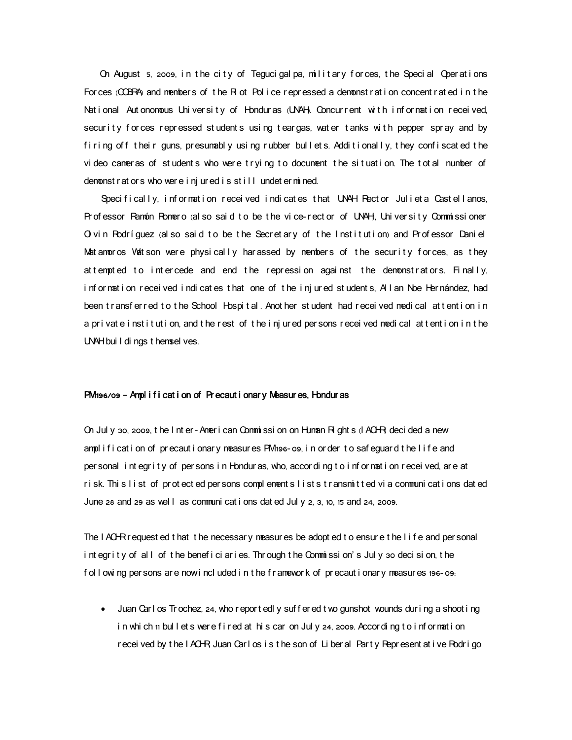On August  $5$ , 2009, in the city of Teguci gal pa, military for ces, the Special Operations For ces (COBRA) and members of the R ot Police repressed a demonstration concent rated in the National Autonomous University of Honduras (UNAH Concurrent with information received, security forces repressed students using teargas, water tanks with pepper spray and by firing off their guns, presumably using rubber bullets. Additionally, they confiscated the video cameras of students who were trying to document the situation. The total number of demonstrators who were injured is still undetermined.

Specifically, information received indicates that UNAH Rector Julieta Castellanos, Pr of essor Ramón Romero (al so sai d t o be t he vi ce- r ect or of UNAH, University Commissi oner Ol vin Rodríguez (al so said to be the Secretary of the Institution) and Professor Daniel Matamoros Watson were physically harassed by members of the security forces, as they at t empt ed to intercede and end the repression against the demonstrators. Finally, information received indicates that one of the injured students, All an Noe Hernández, had been transferred to the School Hospital. Another student had received medical attention in a private institution, and the rest of the injured persons received medical attention in the UNAH bui I di ngs t hemsel ves.

#### PM 196/09 - Ampl i f i cat i on of Precaut i onary Measures, Honduras

On Jul y 30, 2009, the Inter-American Commissi on on Human Rights (IACHR decided a new amplification of precautionary measures PM 196-09, in order to safequard the life and per sonal int egr i t y of per sons in Hondur as, who, accor ding t o inf or mation received, are at risk. This list of protected persons complements lists transmitted via communications dated June 28 and 29 as well as communi cat i ons dat ed Jul y 2, 3, 10, 15 and 24, 2009.

The IACHR r equest ed t hat t he necessary measures be adopt ed t o ensure t he I i f e and per sonal integrity of all of the beneficiaries. Through the Commission's July 30 decision, the f ol I owing per sons are now included in the framework of precautionary measures 196-09:

• Juan Carl os Tr ochez, 24, who report edl y suffered two gunshot wounds during a shoot ing in which 11 bull et swere fired at his car on July 24, 2009. According to information received by the IACHR Juan Carl os is the son of Liberal Party Represent at ive Rodrigo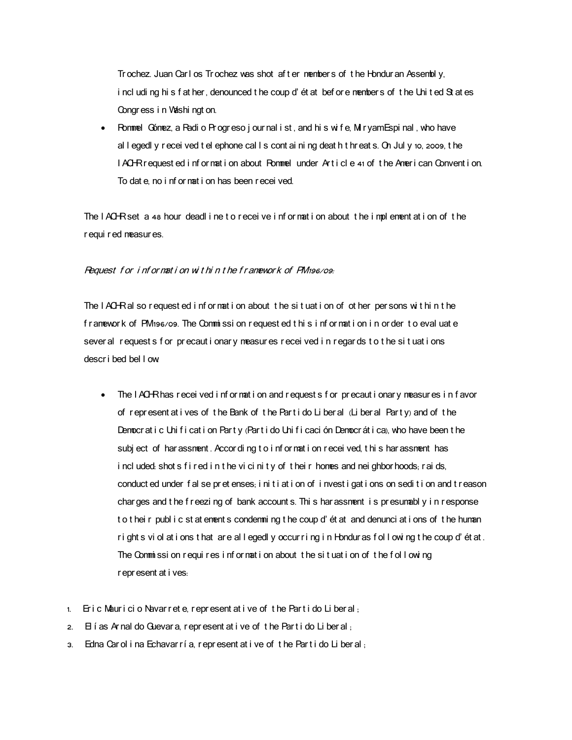Tr ochez. Juan Carl os Tr ochez was shot af t er nembers of t he Hondur an Assembly. i ncl udi ng hi s f at her, denounced t he coup d' ét at bef or e member s of t he Uni t ed St at es Congress in Washington.

• Rommel Gómez, a Radi o Pr ogr eso j our nal i st, and hi s wi f e, Mir yam Espi nal, who have al I egedl y r ecei ved t el ephone cal I s cont ai ni ng deat h t hr eat s. On Jul y 10, 2009, t he I ACHR request ed i nf or mat i on about Rommel under Article  $41$  of the American Convention. To dat e, no i nf or nat i on has been r ecei ved.

The IACHRset a 48 hour deadl ine to receive information about the implementation of the r equi r ed neasur es.

## Request for information within the framework of  $PM_{196/09}$ .

The IACHRal so request ed information about the situation of other persons within the f ramework of PM 196/09. The Commission requested this information in order to evaluate sever al request s for precaut i onary measures received in regards to the situations descr i bed bel l ow :

- The IACHR has received information and requests for precautionary measures in favor of represent at i ves of the Bank of the Partido Liberal (Liberal Party) and of the Democr at i c Uni f i cat i on Part y (Part i do Uni f i caci ón Democr át i ca), who have been t he subject of har assment. Accor ding to information received, this har assment has i ncl uded shot s f i r ed i n t he vi ci ni t y of t hei r homes and nei ghbor hoods; r ai ds, conduct ed under fal se pret enses, i ni t i at i on of i nvest i gat i ons on sedi t i on and t r eason char ges and t he f r eezi ng of bank account s. Thi s har assment is presumably in r esponse t o t hei r publ i c st at enent s condemning t he coup d'ét at and denunci at i ons of t he human r i ght s vi ol at i ons t hat are allegedl y occur r i ng i n Hondur as f ollowing t he coup d' ét at. The Commission requires information about the situation of the following r epr esent at i ves:
- $1.$  Eric Mauricio Navarrete, represent at ive of the Partido Liberal,
- $2.$  El í as Ar nal do Guevar a, r epr esent at i ve of the Parti do Liber al,
- 3. Edna Car ol i na Echavar ría, represent at i ve of the Partido Liberal,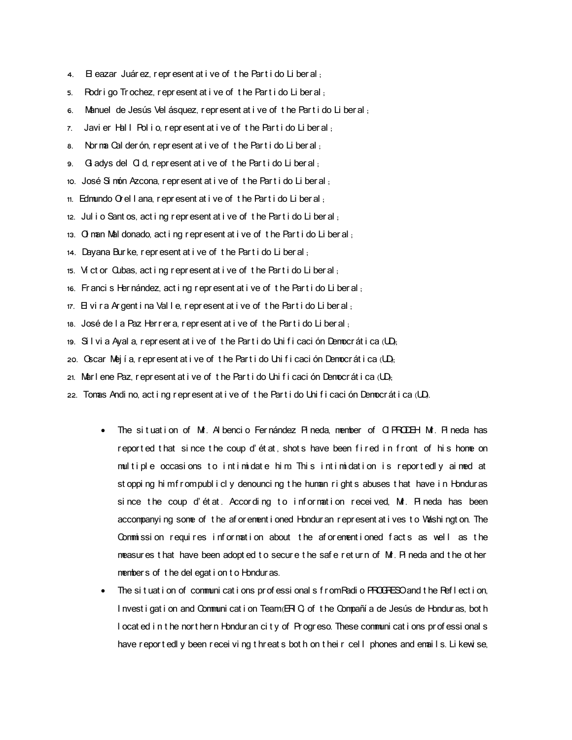- 4. El eazar Juár ez, r epr esent at i ve of t he Part i do Liber al,
- 5. Rodri go Trochez, represent at i ve of the Parti do Liberal;
- 6. Manuel de Jesús Vel ásquez, represent at i ve of the Partido Liberal,
- $7.$  Javier Hall Polio, represent at ive of the Partido Liberal,
- 8. Norma Cal der ón represent at i ve of the Part i do Liberal,
- 9. Gladys del Gd, represent at i ve of the Partido Liberal;
- 10. José Si món Azcona, r epr esent at i ve of the Part i do Liberal,
- 11. Edmundo  $\Omega$  el l ana, r epr esent at i ve of t he Part i do Li ber al,
- 12. Jul i o Sant os, act i ng r epr esent at i ve of the Part i do Liberal,
- 13.  $\sigma$  man Mal donado, act i ng r epresent at i ve of the Part i do Liberal;
- 14. Dayana Burke, represent at i ve of the Partido Liberal,
- 15. Ví ct or  $Q$ ubas, act i ng r epr esent at i ve of the Part i do Liberal,
- 16. Francis Hernández, act i ng r epr esent at i ve of the Part i do Liberal,
- 17. El vi r a Ar gent i na Valle, represent at i ve of the Part i do Liberal,
- 18. José de la Paz Herrera, represent at i ve of the Parti do Liberal,
- 19.  $S1$  vi a Ayal a, r epr esent at i ve of t he Part i do Uni f i caci ón Democr át i ca  $UD$ .
- 20. Oscar Mejía, represent at i ve of the Part i do Unificación Democrática (UD,
- 21. Marlene Paz, represent at i ve of the Part i do Uni f i caci ón Democr át i ca  $(D)$ .
- 22. Tomas Andi no, act i ng r epr esent at i ve of t he Part i do Uni f i caci ón Democr át i ca (UD.
	- The situation of Mr. Al bencio Fernández Pineda, member of CI PRODEH Mr. Pineda has reported that since the coup d'état, shots have been fired in front of his home on multiple occasions to intimidate him. This intimidation is reportedly aimed at st oppi ng hi mf r ompubl i cl y denounci ng t he human r i ght s abuses t hat have i n Hondur as since the coup d'état. According to information received, Mr. Pineda has been accompanyi ng some of the af or ement i oned Hondur an r epr esent at i ves to Vashi ngt on. The Commission requires information about the aforementioned facts as well as the measur es t hat have been adopt ed t o secure t he safe r et urn of Mr. Pi neda and t he ot her members of the delegation to Honduras.
	- The situation of communications professionals from Radio PROGRESO and the Reflection, I nvest i gat i on and Communi cat i on Team  $(H, G)$  of the Compañí a de Jesús de Hondur as, bot h I ocat ed i n t he nor t her n Hondur an ci t y of Pr ogr eso. These communi cat i ons pr of essi onal s have r eport edl y been r ecei vi ng t hr eat s bot h on t hei r cell phones and enails. Li kewi se,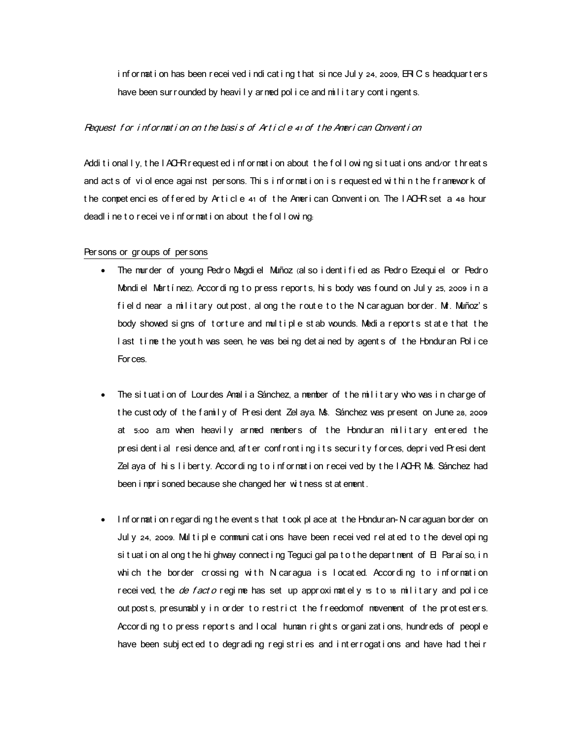information has been received indicating that since July 24, 2009,  $\text{FIC}$  s headquarters have been sur r ounded by heavily ar ned police and milit ary contingents.

## Request for information on the basis of Article 41 of the American Convention

Additionally, the IACHR r equest ed information about the following situations and/or threats and act s of violence against per sons. This information is requested within the framework of the competencies offered by Article 41 of the American Convention. The IACHR set a 48 hour deadl i ne t o r eceive i nf or mat i on about the f ollowing.

## Per sons or gr oups of per sons

- The murder of young Pedro Magdi el Muñoz (al so i dent i fi ed as Pedro Ezequi el or Pedro Mondiel Martínez). According to press reports, his body was found on July 25, 2009 in a field near a military outpost, along the route to the Nicaraguan border. M. Muñoz's body showed signs of torture and multiple stab wounds. Media reports state that the I ast time the youth was seen, he was being det ained by agents of the Hondur an Police For ces.
- The situation of Lourdes Amalia Sánchez, a member of the military who was in charge of t he cust ody of t he f amily of President Zel aya. Ns. Sánchez was present on June 28, 2009 at 5:00 a.m. when heavily armed members of the Honduran military entered the pr esi dent i al r esi dence and, after confront i ng i t s security for ces, deprived Pr esi dent Zel aya of his liberty. According to information received by the IACHR Ms. Sánchez had been i mpr i soned because she changed her wit ness st at ement.
- I nf or nat i on r egar di ng t he event s t hat t ook pl ace at t he Hondur an-N car aguan bor der on Jul y 24, 2009. Mul t i pl e communi cat i ons have been r ecei ved r el at ed t o t he devel opi ng si t uat i on al ong t he hi ghway connect i ng Teguci gal pa t o t he depart nent of  $B$  Par aí so, i n which the border crossing with Nicaragua is located. According to information received, the *de facto* regime has set up approximately 15 to 18 military and police out post s, presunably in order to restrict the freedomof movement of the protesters. Accor ding to press reports and I ocal human rights organizations, hundreds of people have been subjected to degrading registries and interrogations and have had their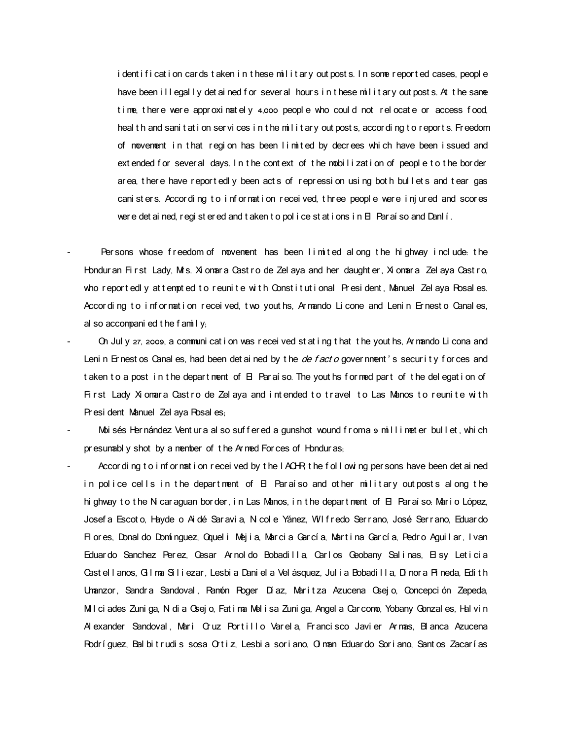i dent i f i cat i on car ds t aken i n t hese mil i t ar y out post s. I n some r eport ed cases, peopl e have been illegally det ained for sever al hours in these military out posts. At the same time, there were approximately  $4,000$  people who could not relocate or access food, heal th and sani t at i on servi ces in the military out posts, according to reports. Freedom of movement in that region has been limited by decrees which have been issued and ext ended for sever al days. In the context of the mobilization of people to the border area, there have reportedly been acts of repression using both bullets and tear gas cani st er s. Accor di ng t o i nf or mati on received, three people were i nj ured and scores wer e det ai ned, r egi st er ed and t aken t o pol i ce st at i ons i n El Par aí so and Danl í .

- Persons whose freedom of movement has been limited along the highway include the Hondur an First Lady, M is. Xi omar a Cast ro de Zel aya and her daught er, Xi omar a Zel aya Cast ro, who reportedly attempted to reunite with Constitutional President, Manuel Zel aya Posales. Accor ding to information received, two youths, Armando Licone and Lenin Ernesto Canales, al so accompani ed t he f amily;
- On Jul y 27, 2009, a communi cat i on was r ecei ved st at i ng t hat t he yout hs, Ar mando Li cona and Leni n Er nest os Canal es, had been det ai ned by t he *de f act o* gover nment 's secur i t y f or ces and t aken to a post in the department of  $\boxminus$  Par aí so. The yout hs formed part of the delegation of First Lady Xiomara Castro de Zelaya and intended to travel to Las Manos to reunite with Pr esi dent Manuel Zel aya Rosal es:
- Moi sés Hernández Vent ur a al so suf f er ed a gunshot wound f r oma 9 mill i met er bul l et, whi ch pr esumably shot by a member of the Armed Forces of Honduras;
- Accor di ng t o i nf or mat i on r ecei ved by t he I ACHR t he f ol I owi ng per sons have been det ai ned in police cells in the department of  $\boxminus$  Paraíso and other military outposts along the hi ghway to the N car aguan bor der, in Las Manos, in the depart ment of  $\boxminus$  Par aí so: Mario López, Josef a Escot o, Hayde o Ai dé Sar avi a, N col e Yánez, W I f r edo Ser r ano, José Ser r ano, Eduar do Flores, Donal do Domínguez, Qqueli Mejia, Marcia García, Martina García, Pedro Aguilar, Ivan Eduardo Sanchez Per ez, Cesar Ar nol do Bobadi II a, Carl os Geobany Sal i nas, El sy Let i ci a Cast el l anos, G I ma Si l i ezar, Lesbi a Dani el a Vel ásquez, Jul i a Bobadi I I a, Di nor a Pi neda, Edith Unanzor, Sandra Sandoval, Ramón Roger Díaz, Maritza Azucena Osejo, Concepción Zepeda, Mil ci ades Zuni ga, Ni di a Gsej o, Fat i ma Mel i sa Zuni ga, Angel a Car como, Yobany Gonzal es, Hal vi n Alexander Sandoval, Mari Cruz Portillo Varela, Francisco Javier Armas, Blanca Azucena Rodríguez, Bal bit rudis sosa Ortiz, Lesbia soriano, Ol man Eduardo Soriano, Santos Zacarías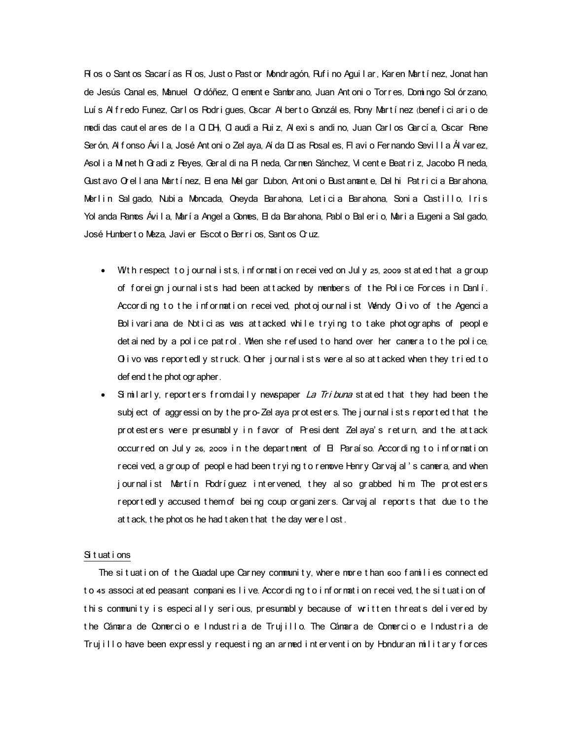Rí os o Sant os Sacar í as Ríos, Just o Past or Mondragón, Ruf i no Agui I ar, Kar en Mart í nez, Jonat han de Jesús Canal es, Manuel Ordóñez, Cl ement e Sambr ano, Juan Ant oni o Tor r es, Domi ngo Sol ór zano, Luís Al fredo Funez, Carlos Rodriques, Oscar Alberto Gonzáles, Rony Martínez (beneficiario de medi das caut el ar es de l a CIDH, Cl audi a Rui z, Al exi s andi no, Juan Carl os García, Gscar Rene Ser ón, Al f onso Ávi I a, José Ant oni o Zel aya, Aí da Dí as Rosal es, Fl avi o Fer nando Sevi I I a Ál var ez, Asol i a M net h Gr adi z Reyes, Ger al di na Pi neda, Car men Sánchez, Vi cent e Beat r i z, Jacobo Pi neda, Gust avo O el lana Martínez. El ena Mel gar Dubon, Antonio Bust anante, Del hi Patricia Barahona, Merlin Salgado, Nubia Moncada, Oneyda Barahona, Leticia Barahona, Sonia Castillo, Iris Yol anda Ramos Ávila, María Angel a Gomes, El da Barahona, Pabl o Balerio, Maria Eugenia Salgado, José Humbert o Meza, Javi er Escot o Berrios. Sant os Cruz.

- With respect to journal ists, information received on July 25, 2009 stated that a group of foreign journalists had been attacked by members of the Police Forces in Danlí. Accor ding to the information received, photojournalist Wendy Olivo of the Agencia Bolivariana de Noticias was attacked while trying to take photographs of people det ai ned by a police pat rol. When she refused to hand over her camera to the police, O i vo was reportedly struck. Other journal ists were al so attacked when they tried to def end t he phot ogr apher .
- Similarly, reporters from daily newspaper La Tribuna stated that they had been the subject of aggressi on by the pro-Zel aya protesters. The journal ists reported that the protesters were presumably in favor of President Zelaya's return, and the attack occur red on July 26, 2009 in the depart ment of  $H$  Paraíso. According to information r ecei ved, a gr oup of peopl e had been t r yi ng t o r enove Henr y Car vaj al 's camer a, and when journalist Martín Podríquez intervened, they also grabbed him. The protesters r eportedly accused them of being coup or gani zers. Carvaj al reports that due to the at t ack, t he phot os he had t aken t hat t he day were I ost.

# Si t uat i ons

The situation of the Guadal upe Carney community, where more than 600 families connected to 45 associ at ed peasant compani es l i ve. Accor di ng t o i nf or mat i on r ecei ved, t he si t uat i on of this community is especially serious, presumably because of written threats delivered by the Cámara de Comercio e Industria de Trujillo. The Cámara de Comercio e Industria de Truj i l l o have been expressly request ing an armed intervent i on by Honduran military forces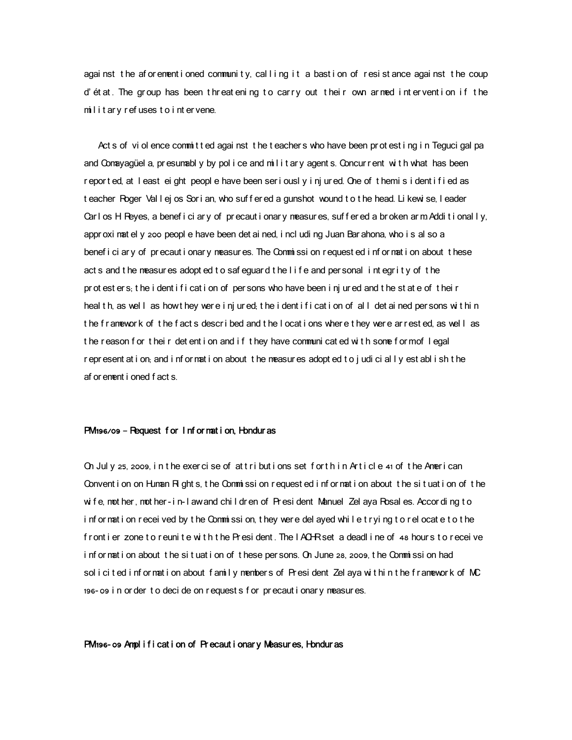agai nst the afor ementioned community, calling it a bastion of resistance against the coup d' ét at. The group has been threatening to carry out their own armed intervention if the  $m$  lit ar y refuses to intervene.

 Act s of vi ol ence commi t t ed agai nst t he t eacher s who have been pr ot est i ng i n Teguci gal pa and Con ayagüel a, presumabl y by police and military agents. Concurrent with what has been r epor t ed, at I east ei ght peopl e have been ser i ousl y i nj ur ed. One of t hemi s i dent i f i ed as t eacher Roger Val I ej os Sor i an, who suf f er ed a gunshot wound t o t he head. Li kewi se, I eader Carl os H Reyes, a benef i ci ar y of precaut i onar y measures, suffered a broken arm Addit i onal ly, appr oxi nat el y 200 peopl e have been det ai ned, i ncl udi ng Juan Bar ahona, who i s al so a benef i ci ar y of precaut i onar y measures. The Commissi on request ed i nformat i on about these act s and t he measures adopt ed t o safequard t he l i f e and per sonal integrity of t he pr ot est er s; t he i dent i f i cat i on of per sons who have been i nj ur ed and t he st at e of t hei r heal t h, as well as how they were i nj ur ed; t he i dent i f i cat i on of all det ai ned per sons wit hin t he f r amewor k of t he f act s descr i bed and t he I ocat i ons where t hey wer e ar r est ed, as well as t he r eason f or t hei r det ent i on and i f t hey have communi cat ed wi t h some f or mof l egal r epresent at i on, and i nf or mat i on about t he measures adopt ed t o j udi ci ally est abl i sh t he af or ement i oned f act s .

# $PM$  196/09 – Request for I nf or mat i on, Hondur as

On July 25, 2009, in the exercise of attributions set for thin Article 41 of the American Convent i on on Human R ght s, the Commissi on request ed i nf or mat i on about the situation of the wi fe, noot her, noot her- i n- I awand chil dr en of President Manuel Zel aya Rosal es. Accor di ng to information received by the Commission, they were del ayed while trying to relocate to the f r ont i er zone t o r euni t e with the President. The IACHR set a deadl i ne of 48 hours to receive information about the situation of these per sons. On June 28, 2009, the Commission had sol i cited information about family members of President Zel aya within the framework of MC 196- o9 in or der to deci de on requests for precautionary measures.

## PM 196- o9 Ampl i f i cat i on of Precaut i onar y Measures, Hondur as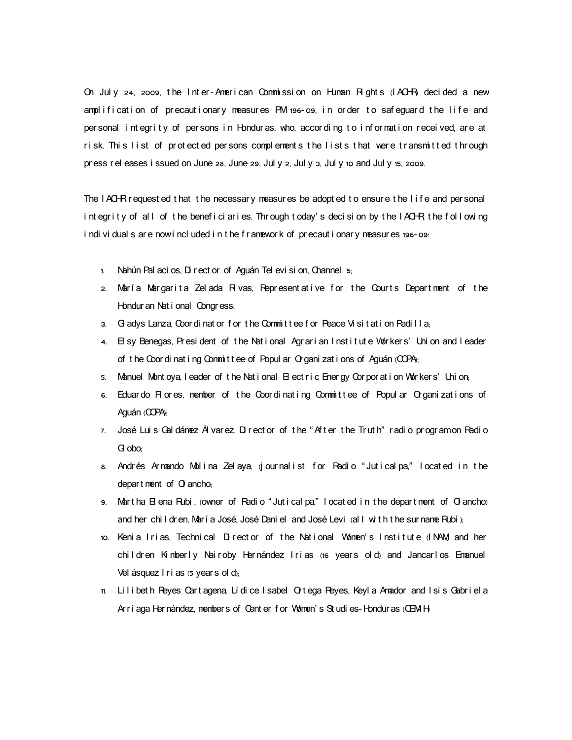On July 24, 2009, the Inter-American Commission on Human Rights (IACHR decided a new amplification of precautionary measures PM 196-09, in order to safeguard the life and per sonal integrity of persons in Honduras, who, according to information received, are at risk. This list of protected persons complements the lists that were transmitted through pr ess rel eases i ssued on June 28, June 29, Jul y 2, Jul y 3, Jul y 10 and Jul y 15, 2009.

The  $I$  ACHR r equest ed t hat t he necessary measures be adopt ed t o ensure t he  $I$  if e and per sonal integrity of all of the beneficiaries. Through today's decision by the IACHR the following i ndi vi dual s ar e now i ncl uded i n t he f r amewor k of pr ecaut i onar y measur es 196-09.

- 1. Nahún Pal aci os, Di r ect or of Aguán Tel evi si on, Channel 5;
- 2. María Margarita Zelada Rivas, Pepresentative for the Courts Department of the Hondur an Nat i onal Congress:
- 3. Gladys Lanza, Coor dinat or for the Committee for Peace Visit at ion Padilla,
- 4. El sy Benegas, President of the National Agrarian Institute Workers' Union and leader of the Coor di nat i ng Committee of Popul ar Organi zations of Aguán (COPA);
- 5. Manuel Montoya, I eader of the National Electric Energy Corporation Workers' Union,
- 6. Eduardo Flores, member of the Coordinating Committee of Popular Organizations of Aguán (COPA);
- 7. José Luis Gal dámez Ál varez. Direct or of the "After the Truth" radio programon Radio G obo:
- 8. Andrés Armando Molina Zelaya,  $\ddot{\text{q}}$  ournalist for Radio "Juticalpa," located in the depart nent of  $\alpha$  ancho;
- 9. Martha  $\boxminus$  ena Rubí, owner of Radio " Jutical pa," I ocated in the department of  $\bm{O}$  ancho) and her chi I dr en, Mar í a José, José Dani el and José Levi (al I with the sur name Rubí);
- 10. Kenia Irias, Technical Director of the National Women's Institute (INAM and her children Kimberly Nairoby Hernández Irias (16 years old) and Jancarlos Emanuel Vel ásquez I r i as (5 years ol d);
- 11. Li l i bet h Reyes Cart agena, Lí di ce I sabel O tega Reyes, Keyl a Amador and I si s Gabr i el a Ar r i aga Her nández, member s of Cent er f or Women's St udi es-Hondur as (CEM H)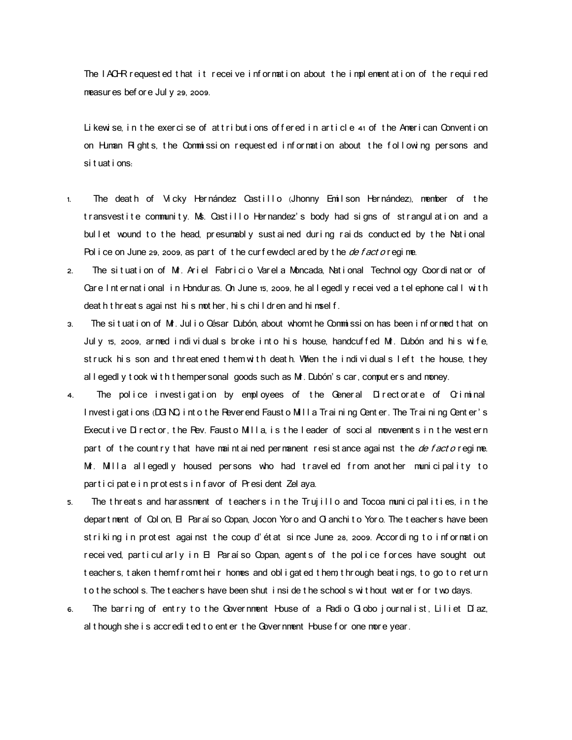The IACHR requested that it receive information about the implementation of the required measur es bef or e Jul y 29, 2009.

Likewise, in the exercise of attributions offered in article  $41$  of the American Convention on Human Rights, the Commission requested information about the following persons and si t uat i ons:

- 1. The death of Vicky Hernández Castillo (Jhonny Emilson Hernández), member of the transvestite community. Ms. Castillo Hernandez's body had signs of strangulation and a bullet wound to the head, presumably sustained during raids conducted by the National Pol i ce on June 29, 2009, as part of the curfewdecl ared by the *de f act o* r egi me.
- 2. The situation of Mr. Ariel Fabricio Varela Moncada, National Technol ogy Coordinator of Care I nt er nat i onal in Hondur as. On June 15, 2009, he allegedl y r ecei ved a t el ephone call with deat h t hr eat s agai nst hi s not her, hi s chi I dr en and hi msel f.
- 3. The situation of Mr. Julio César Dubón, about whom the Commission has been informed that on July 15, 2009, ar med individuals broke into his house, handcuffed Mr. Dubón and his wife, st ruck his son and threatened them with death. When the individuals left the house, they al I egedl y t ook with t hemper sonal goods such as M . Dubón's car, comput er s and money.
- 4. The police investigation by employees of the General Directorate of Criminal I nvest i gat i ons (DG NQ i nt o t he Rever end Faust o MII a Tr ai ni ng Cent er The Tr ai ni ng Cent er's Execut ive Director, the Rev. Fausto Milla, is the leader of social movements in the western part of the country that have maintained permanent resistance against the *de facto* regime. Mr. Milla allegedly housed persons who had traveled from another municipality to part i ci pat e i n pr ot est s i n f avor of Presi dent Zel aya.
- 5. The threats and harassment of teachers in the Trujillo and Tocoa municipalities, in the depar t ment of Col on,  $\boxminus$  Par aí so Copan, Jocon Yor o and O anchi t o Yor o. The t eacher s have been st riking in protest against the coup d'état since June 28, 2009. According to information received, particularly in  $\boxminus$  Paraíso Copan, agents of the police forces have sought out t eachers, t aken t hem from their homes and obligated them through beatings, to go to return to the school s. The teachers have been shut inside the school s without wat er for two days.
- 6. The barring of entry to the Government House of a Radio Globo journalist, Liliet Díaz, al though she is accredited to enter the Government House for one more year.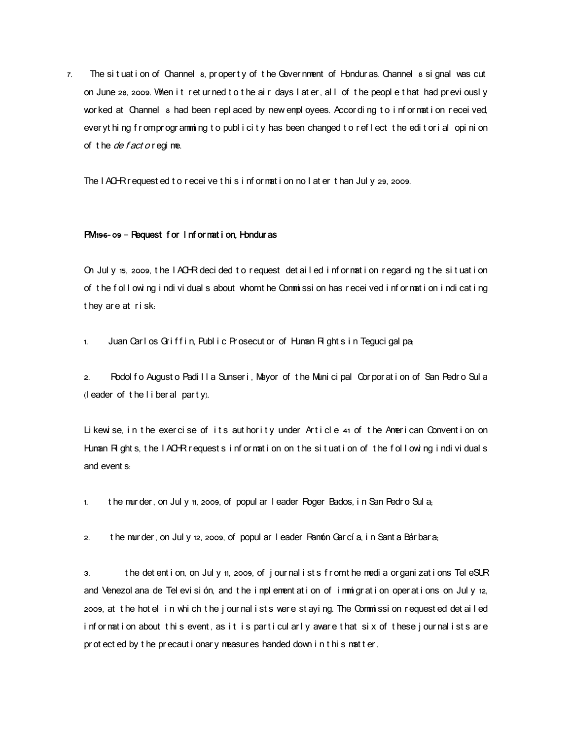$7.$  The situation of Channel s, property of the Government of Honduras. Channel s signal was cut on June 28, 2009. When it returned to the air days later, all of the people that had previously wor ked at Channel a had been r epl aced by new empl oyees. Accor di ng t o i nf or mat i on r ecei ved. ever yt hi ng fromprogramming to publicity has been changed to reflect the editorial opinion of the *de fact o* regime.

The I ACHR request ed t o recei ve t hi s i nf or mat i on no I at er t han Jul y 29, 2009.

#### PM 196- 09 – Request for Information, Honduras

On Jul y 15, 2009, the IACHR decided to request detailed information regarding the situation of the following individuals about whom the Commission has received information indicating they are at risk:

1. Juan Carl os Griffin, Public Prosecut or of Human Rights in Teguci gal pa,

2. Rodol fo August o Padi II a Sunseri, Mayor of the Municipal Corporation of San Pedro Sula  $($ l eader of the liberal party).

Likewise, in the exercise of its authority under Article 41 of the American Convention on Human Rights, the IACHR r equests information on the situation of the following individuals and event  $s_i$ 

1. the mur der, on Jul y 11, 2009, of popul ar I eader Roger Bados, in San Pedro Sul a;

2. the murder, on July 12, 2009, of popul ar leader Pamón García, in Sant a Bárbara,

3. the det ent i on, on Jul y  $n$ , 2009, of j our nal i st s f r om the media or gani zat i ons Tel eSUR and Venezol ana de Tel evi si ón, and the implement at i on of i mmi grati on oper at i ons on Jul y 12, 2009, at the hotel in which the journalists were staying. The Commission requested detailed information about this event, as it is particularly aware that six of these journalists are pr ot ect ed by the precaut i onary measures handed down in this mat ter.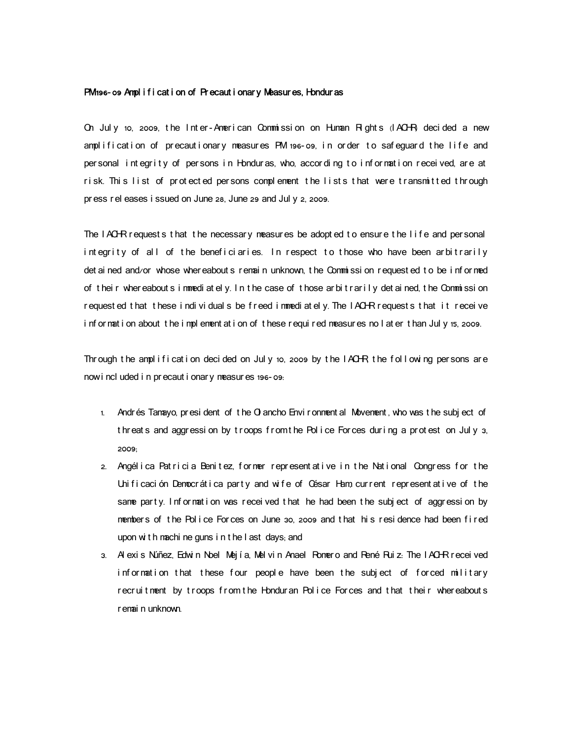### PM 196- o9 Ampl i f i cat i on of Precaut i onary Measures, Hondur as

On July 10, 2009, the Inter-American Commission on Human Rights ( $ACHR$  decided a new amplification of precautionary measures PM 196-09, in order to safequard the life and per sonal integrity of persons in Honduras, who, according to information received, are at risk. This list of protected persons complement the lists that were transmitted through pr ess r el eases i ssued on June 28, June 29 and Jul y 2, 2009.

The  $I$  ACHR requests that the necessary measures be adopted to ensure the life and personal integrity of all of the beneficiaries. In respect to those who have been arbitrarily det ai ned and/or whose whereabout s remain unknown, the Commissi on requested to be informed of their whereabouts immediately. In the case of those arbitrarily detained, the Commission requested that these individuals be freed im mediately. The IACHR requests that it receive information about the implementation of these required measures no later than July 15, 2009.

Thr ough t he amplification decided on July 10, 2009 by the  $I$  ACHR the following per sons are now included in precautionary measures 196-09:

- 1. Andr és Tan avo, pr esi dent of the O ancho Envi r onment al Movement, who was the subj ect of threats and aggression by troops from the Police Forces during a protest on July 3, 2009;
- 2. Angélica Patricia Benitez, former representative in the National Congress for the Unificación Democrática party and wife of César Ham current representative of the same party. Information was received that he had been the subject of aggression by members of the Police Forces on June 30, 2009 and that his residence had been fired upon with machine guns in the last days; and
- 3. Al exi s Núñez, Edwin Noel Mejía, Melvin Anael Romero and René Ruiz: The IACHR r eceived information that these four people have been the subject of forced military r ecr ui t ment by t r oops f r om t he Hondur an Pol i ce For ces and t hat t hei r wher eabout s r emai n unknown.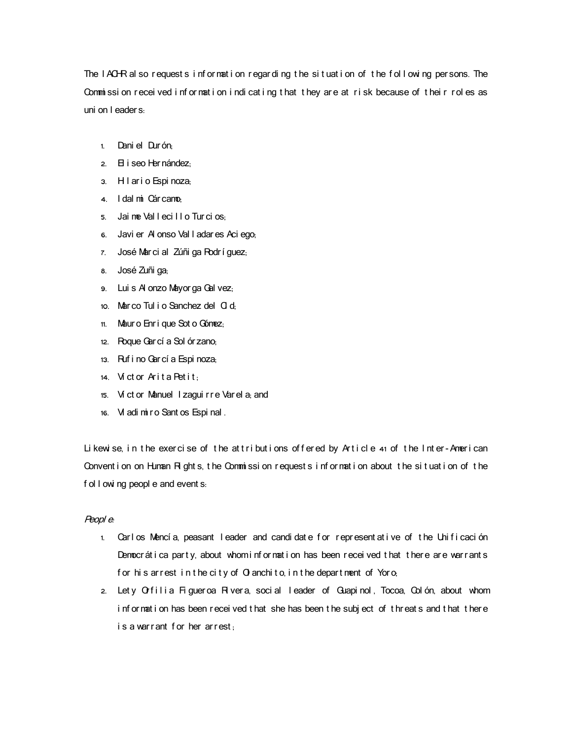The IACHR al so request s information regarding the situation of the following persons. The Commission received information indicating that they are at risk because of their roles as uni on I eader s.

- 1. Dani el Durón:
- 2. El i seo Her nández;
- 3. Hi l ar i o Espi noza;
- 4. I dal mi Cár cano;
- 5. Jai ne Val lecillo Turcios:
- 6. Javi er Al onso Val I adar es Aci ego;
- 7. José Marci al Zúñi ga Rodrí guez;
- 8. José Zuñi ga;
- 9. Lui s Al onzo Mayor ga Gal vez;
- 10. Mar co Tul i o Sanchez del Ci d
- 11. Maur o Enri que Sot o Gónez;
- 12. Roque Gar cí a Sol ór zano;
- 13. Ruf i no Gar cí a Espi noza;
- 14. Víctor Arita Petit;
- 15. Ví ct or Manuel I zagui r r e Var el a; and
- 16. Vl adi mi r o Sant os Espi nal .

Li kewise, in the exercise of the attributions offered by  $Article 41$  of the Inter-American Convent i on on Human R ght s, the Commissi on request s i nf or mat i on about the situation of the f ol  $I$  owi ng peopl e and event s.

## Peopl <sup>e</sup>:

- 1. Carlos Mencía, peasant leader and candidate for representative of the Unificación Democr át i ca party, about whom i nformation has been received that there are warrants for his arrest in the city of  $O$  anchito, in the department of Yoro,
- 2. Lety Orfilia Figueroa Rivera, social leader of Guapinol, Tocoa, Colón, about whom information has been received that she has been the subject of threats and that there is a warrant for her arrest: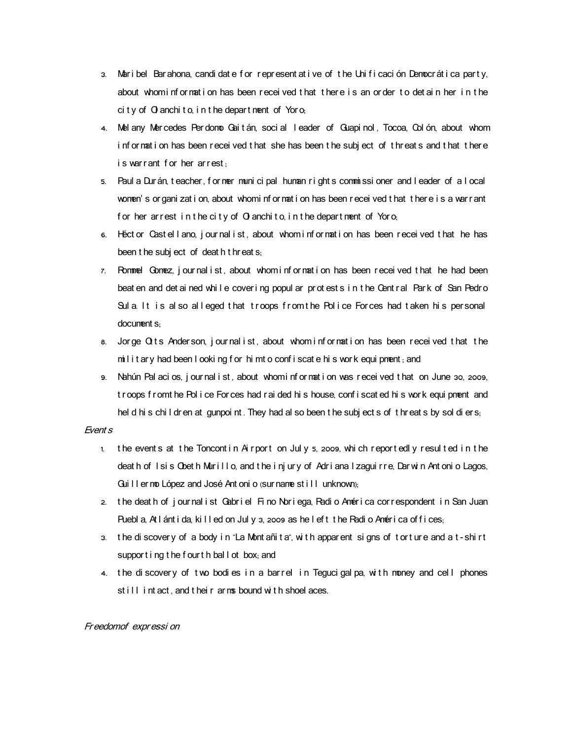- 3. Maribel Barahona, candidate for represent at i ve of the Unificación Democrática party, about whominformation has been received that there is an order to detain her in the  $\cot$  t v of  $\Omega$  anchi t o in t he depart ment of Yor o.
- 4. Mel any Mercedes Per domo Gai t án, soci al leader of Guapi nol, Tocoa, Col ón, about whom i nf or mat i on has been r ecei ved t hat she has been t he subj ect of t hr eat s and t hat t her e is warrant for her arrest:
- 5. Paul a Dur án, t eacher, for mer muni ci pal human r i ght s commissioner and leader of a local women's or gani zat i on, about who mi nf or mat i on has been r ecei ved t hat t here is a warr ant for her arrest in the city of  $\Omega$  anchito, in the department of Yoro,
- 6. Héct or Cast ellano, journal ist, about whom information has been received that he has been t he subj ect of deat h t hr eat s;
- 7. Rommel Gomez, journal ist, about whom information has been received that he had been beat en and det ai ned whi I e cover i ng popul ar prot est s i n t he Cent r al Park of San Pedro Sula. It is also alleged that troops from the Police Forces had taken his personal document s;
- 8. Jorge  $Q$  its Anderson, journal ist, about whom information has been received that the military had been I ooking for himto confiscate his work equipment; and
- 9. Nahún Pal aci os, j our nal i st, about whomi nf or mat i on was recei ved t hat on June 30, 2009, t roops f r omt he Pol i ce For ces had r ai ded hi s house, conf i scat ed hi s wor k equi pnent and hel d hi s chi I dr en at gunpoi nt. They had al so been t he subj ect s of t hr eat s by sol di er s,

# Event s

- 1. the event s at the Toncont in Airport on July 5, 2009, which reportedly resulted in the deat h of I si s Obet h Murillo, and t he i nj ur y of Adriana I zagui r r e, Dar win Ant oni o Lagos, Gui II er mo López and José Ant oni o (sur name st i l l unknown);
- 2. the death of journal ist Gabriel Fino Noriega, Radio América correspondent in San Juan Puebl a, At I ánt i da, ki I l ed on Jul y 3, 2009 as he l ef t t he Padi o Amér i ca of f i ces;
- 3. the discovery of a body in "La Montañita", with apparent signs of torture and a t-shirt supporting the fourth ball ot box; and
- 4. the discovery of two bodies in a barrel in Teguci gal pa, with money and cell phones st ill intact, and their arms bound with shoel aces.

# Fr eedomof expr essi on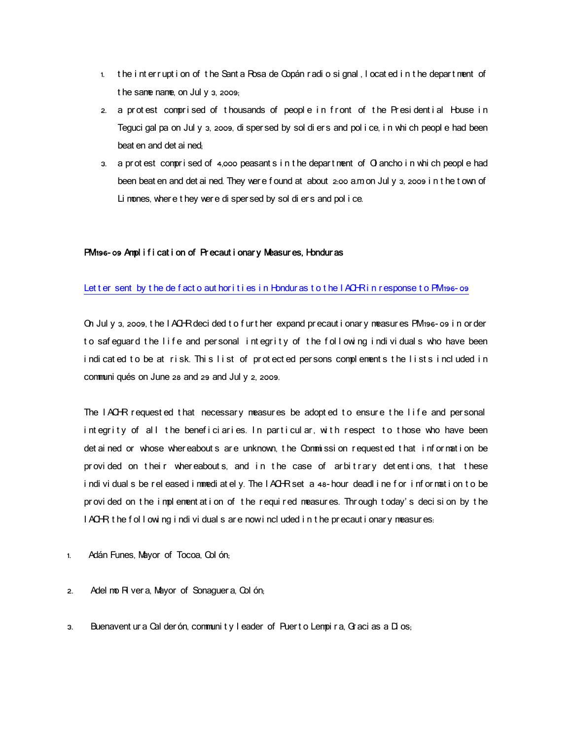- 1. the inter rupt i on of the Santa Rosa de Copán radio signal, located in the department of t he same name, on Jul y  $3$ , 2009;
- 2. a protest comprised of thousands of people in front of the Presidential House in Teguci gal pa on Jul y 3, 2009, di sper sed by sol di er s and pol i ce, i n whi ch peopl e had been beat en and det ai ned.
- $3.$  a pr ot est comprised of 4,000 peasant s in t he depart ment of O ancho in whi ch peopl e had been beat en and det ai ned. They wer e f ound at about 2:00 a.m on Jul y 3, 2009 in t he t own of Li mones, where t hey were di sper sed by sol di ers and pol i ce.

# PM 196- o9 Ampl i f i cat i on of Precaut i onar y Measur es, Hondur as

# Let t er sent by the de fact o aut hor i t i es in Honduras to the IACHR in response to PM 196-09

On Jul y 3, 2009, t he I ACHR deci ded t o f ur t her expand pr ecaut i onar y measur es PM 196-09 i n or der to safeguard the life and personal integrity of the following individuals who have been indicated to be at risk. This list of protected persons complements the lists included in communi qués on June  $28$  and  $29$  and Jul y  $2$ , 2009.

The IACHR requested that necessary measures be adopted to ensure the life and personal integrity of all the beneficiaries. In particular, with respect to those who have been det ai ned or whose wher eabout s are unknown, the Commission requested that information be provided on their whereabouts, and in the case of arbitrary detentions, that these individuals be released immediately. The IACHR set a 48-hour deadline for information to be pr ovided on the implement at i on of the required measures. Through today's decision by the I ACHR t he f ol I owi ng i ndi vi dual s ar e now i ncl uded i n t he pr ecaut i onar y measur es.

- 1. Adán Funes, Mayor of Tocoa, Col ón,
- 2. Adel mo Ri ver a, Mayor of Sonaguer a, Col ón;
- 3. Buenavent ur a Cal der ón, community leader of Puert o Lempira, Gracias a Dios.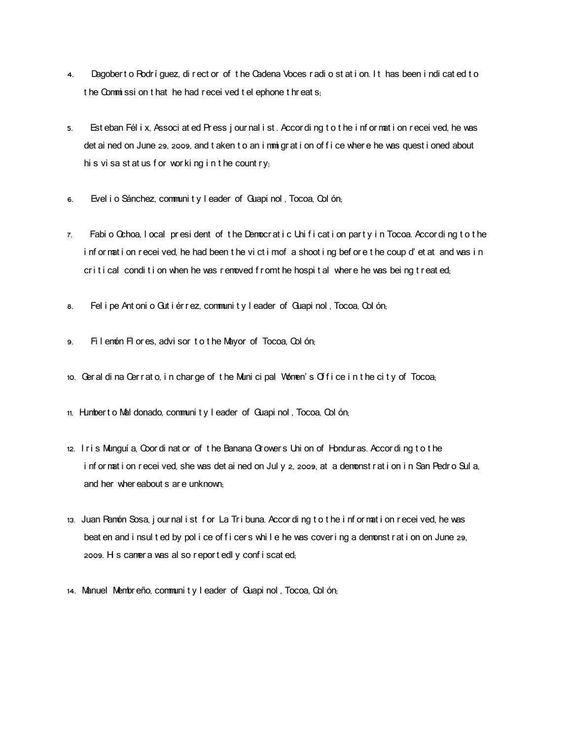- 4. Dagobert o Rodríguez, di rect or of the Cadena Voces radi o station. It has been indicated to t he Commissi on t hat he had r ecei ved t el ephone t hr eat s;
- 5. Est eban Fél i x, Associ at ed Pr ess j our nal i st . Accor di ng t o t he i nf or mat i on r ecei ved, he was det ai ned on June 29, 2009, and t aken t o an i mmi gr at i on of f i ce where he was quest i oned about hi s vi sa st at us f or wor ki ng i n t he count  $ry_i$
- 6. Evel i o Sánchez, community I eader of Guapi nol, Tocoa, Col ón,
- 7. Fabio Ochoa, I ocal president of the Democratic Unification party in Tocoa. According to the information received, he had been the victim of a shooting before the coup d'et at and was in cr i t i cal condi t i on when he was r emoved f r omt he hospit al where he was being t r eat ed;
- 8. Fel i pe Ant oni o Gut i ér r ez, communi t y I eader of Guapi nol, Tocoa, Col ón,
- 9. Fil enón Fl or es, advi sor to the Mayor of Tocoa, Col ón;
- 10. Geral di na Cerrato, in charge of the Muni ci pal Women's Office in the city of Tocoa,
- 11. Humbert o Mal donado, community I eader of Guapi nol, Tocoa, Col ón;
- 12. Iris Munguí a, Coor di nat or of the Banana Growers Uni on of Honduras. Accor di ng t o the i nfor mat i on recei ved, she was det ai ned on Jul y 2, 2009, at a demonst rat i on i n San Pedr o Sul a, and her wher eabout s ar e unknown.
- 13. Juan Ramón Sosa, j our nal i st for La Tribuna. Accor di ng to the i nfor mation recei ved, he was beat en and i nsul t ed by pol i ce of f i cer s whi I e he was cover i ng a demonst r at i on on June 29, 2009. His camer a was al so r eport edl y confiscated;
- 14. Manuel Membreño, community leader of Guapi nol, Tocoa, Colón;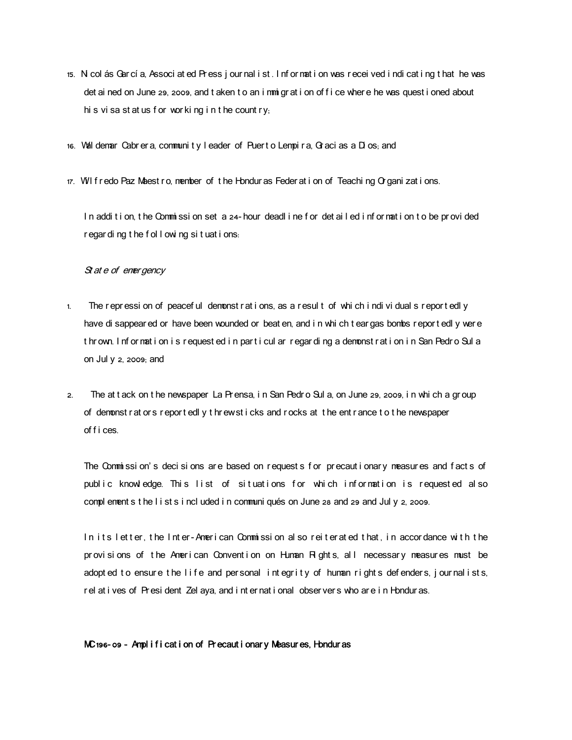- 15. Ni col ás Gar cí a, Associ at ed Pr ess j our nal i st . I nf or mat i on was r ecei ved i ndi cat i ng t hat he was det ai ned on June 29, 2009, and t aken t o an i mmi gr at i on of f i ce wher e he was quest i oned about hi s vi sa st at us f or wor ki ng i n t he count r  $y_i$
- 16. Val demar Cabr er a, community I eader of Puert o Lempi r a, Gr aci as a D os; and
- $17.$  W I f r edo Paz Maest ro, member of the Honduras Feder at i on of Teaching Organi zations.

In addition, the Commission set a 24-hour deadline for det ailed information to be provided r egar di ng t he f ol l owi ng si t uat i ons.

## St at e of ener gency

- 1. The repressi on of peaceful demonst rations, as a result of which individuals reportedly have di sappear ed or have been wounded or beat en, and i n whi ch t ear gas bombs r eport edl y wer e thrown. Information is requested in particul ar regarding a demonstration in San Pedro Sula on Jul  $y$   $z$ , 2009; and
- 2. The at t ack on t he newspaper La Pr ensa, i n San Pedr o Sul a, on June 29, 2009, i n whi ch a gr oup of dem onst r at or s r epor t edl y t hr ew st i cks and r ocks at t he ent r ance t o t he newspaper of f i ces.

The Commission's decisions are based on requests for precautionary measures and facts of public knowledge. This list of situations for which information is requested also compl ement s t he l i st s i ncl uded i n communi qués on June 28 and 29 and Jul y 2, 2009.

In its letter, the Inter-American Commission also reiterated that in accordance with the provisions of the American Convention on Human Rights, all necessary measures must be adopted to ensure the life and personal integrity of human rights defenders, journalists, r el at i ves of Presi dent Zel aya, and i nt er nat i onal obser ver s who ar e i n Hondur as.

## MC 196-09 - Amplification of Precautionary Measures, Honduras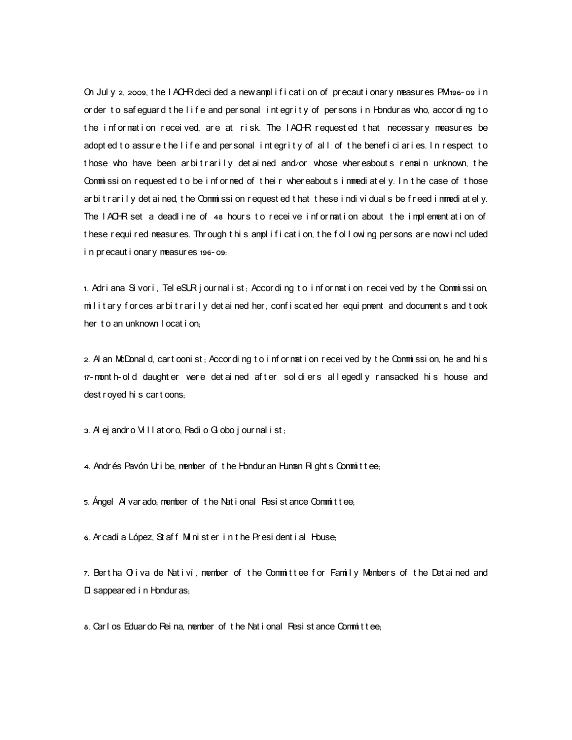On Jul y 2, 2009, the I ACHR deci ded a new ampl i fi cat i on of precaut i onar y measur es PM 196-09 in or der to safeguard the life and personal integrity of persons in Honduras who, according to the information received, are at risk. The IACHR requested that necessary measures be adopt ed to assure the life and personal integrity of all of the beneficiaries. In respect to those who have been arbitrarily detained and/or whose whereabouts remain unknown, the Commission requested to be informed of their whereabouts immediately. In the case of those ar bit rarily det ained, the Commission requested that these individuals be freed immediately. The IACHR set a deadline of 48 hours to receive information about the implementation of these required measures. Through this amplification, the following persons are now included i n pr ecaut i onar y neasur es 196-09:

1. Adriana Sivori, TeleSUR journalist; According to information received by the Commission,  $m$  litary for ces ar bit rarily det ai ned her, confiscated her equipment and documents and took her to an unknown I ocat i on

2. Al an McDonal d, cart ooni st; Accor di ng t o i nf or mat i on r ecei ved by t he Commi ssi on, he and hi s 17- mont h- old daught er were det ai ned af t er sol di ers allegedly ransacked his house and dest r oyed hi s car t oons;

 $3.$  Al ej andro Vill at or o, Radi o Gl obo j our nal i st;

4. Andrés Pavón Uribe, member of the Hondur an Human  $H$  ght s Committee;

5. Ángel Al var ado; member of the National Resistance Committee;

6. Ar cadi a López, St af f Mi ni st er in t he Pr esi dent i al House.

7. Bertha Oliva de Nativí, member of the Committee for Family Members of the Detained and Di sappear ed i n Hondur as;

8. Carl os Eduar do Rei na, member of the National Resist ance Committee;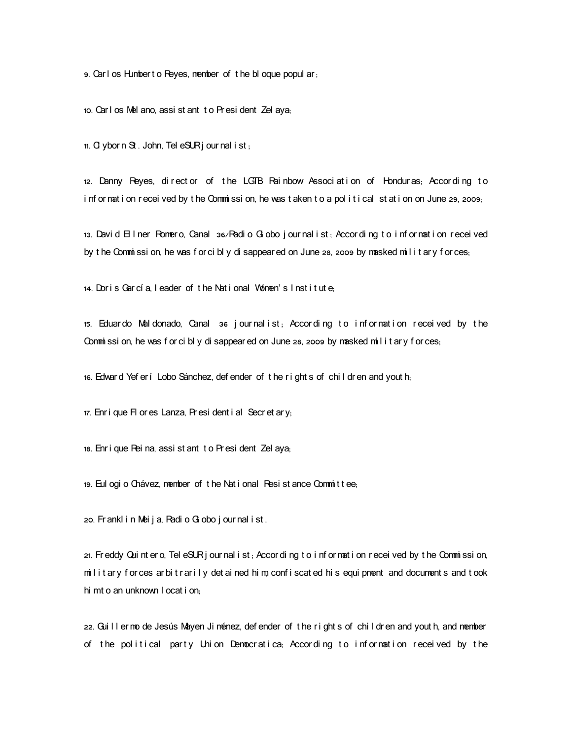9. Carl os Humbert o Reyes, member of the bloque popul ar.

10. Carl os Mel ano, assi st ant to Presi dent Zel aya;

11.  $\alpha$  ybor n  $\alpha$ . John, Tel eSUR jour nal i st .

12. Danny Reyes, di rect or of the LGTB Rai nbow Associ at i on of Honduras, According to i nf or nat i on recei ved by the Commissi on, he was t aken to a political station on June 29, 2009;

13. David  $\Box$  I ner Romero, Canal  $36$ /Radi o  $\Box$  obo j our nal i st; According to information received by t he Commission, he was for cibly disappear ed on June 28, 2009 by masked military for ces,

14. Doris García, leader of the National Women's Institute.

15. Eduardo Maldonado, Canal 36 journalist; According to information received by the Commission, he was for cibly disappear ed on June 28, 2009 by masked military for ces,

16. Edwar d Yef er í Lobo Sánchez, def ender of the right s of children and yout h,

 $17.$  Enr i que Fl or es Lanza. Pr esi dent i al Secr et ar y.

18. Enri que Rei na, assi st ant t o Pr esi dent Zel aya,

19. Eul ogi o Chávez, member of the Nat i onal Resi st ance Commit tee;

20. Fr ankl i n Mei j a, Radi o Gl obo j our nal i st.

21. Freddy Qui nt er o, Tel eSUR j our nal i st, Accor di ng t o i nf or mat i on recei ved by t he Commi ssi on, military for ces ar bit rarily det ai ned him, confiscated his equipment and documents and took hi mt o an unknown I ocat i on;

22. Gui II er mo de Jesús Mayen Ji ménez, defender of the rights of chil dr en and yout h, and member of the political party Union Democratica; According to information received by the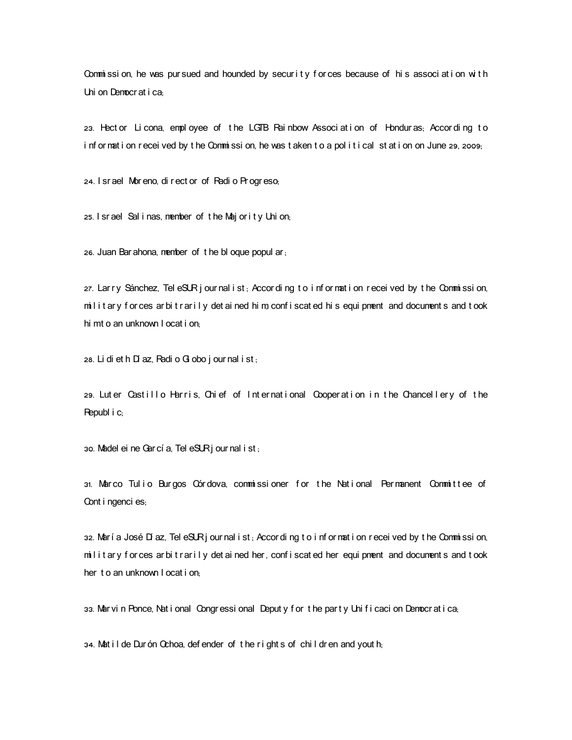Commission, he was pursued and hounded by security for ces because of his association with Uni on Democratica.

23. Hect or Li cona, empl oyee of the LGTB Rai nbow Associ at i on of Hondur as, Accor ding to information received by the Commission, he was taken to a political station on June 29, 2009;

24. I sr ael Mor eno, di r ect or of Radi o Pr ogr eso,

 $25.$  I srael Sal i nas, member of the Majority Union;

26. Juan Bar ahona, member of the bloque popul ar,

 $27.$  Lar ry Sánchez, Tel eSUR journal ist; According to information received by the Commission,  $m$  l it ary for ces ar bit rarily det ai ned him, confiscated his equipment and documents and took hi mt o an unknown I ocat i on

28. Li di et h Dí az, Radi o  $G$  obo j our nal i st;

29. Luter Castillo Harris, Chief of International Cooperation in the Chancellery of the Republ i c;

 $30.$  Madel ei ne Gar cí a, Tel eSUR jour nal i st;

31. , Mar co Tul i o Bur gos Cór dova commi ssi oner f or t he Nat i onal Per manent Commi t t ee of Cont i ngenci es;

32. María José Dí az, Tel eSUR jour nal i st, Accor di ng to i nfor mati on recei ved by the Commission, military for ces ar bit rarily det ai ned her, confiscated her equi pment and documents and took her to an unknown I ocat i on:

33. Mar vin Ponce, National Congressi onal Deputy for the party Unificacion Democratica,

34. Mat il de Dur ón Ochoa, defender of the right s of children and youth;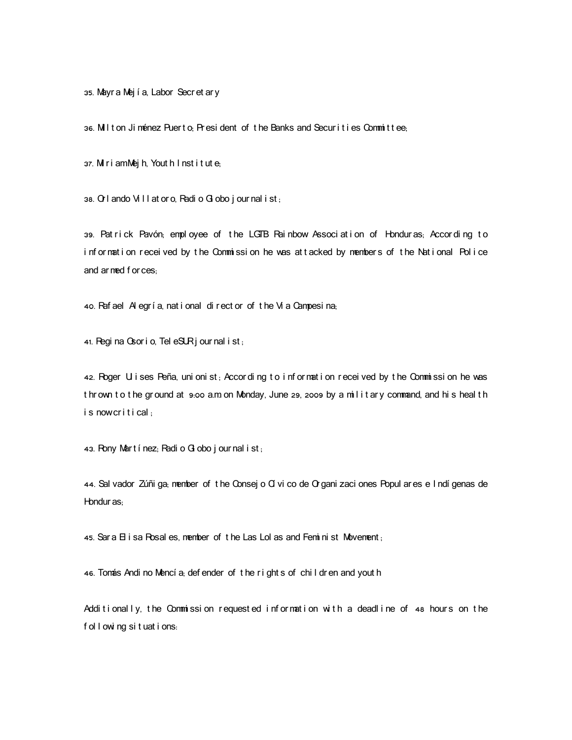35. Mayr a Mej í a, Labor Secr et ar y

36. Milton Jiménez Puerto; President of the Banks and Securities Committee;

37. Miri amMej h, Yout h I nst i t ut e,

38.  $\Omega$  I ando Vi I I at or o, Radi o  $G$  obo j our nal i st;

39. Patrick Pavón; employee of the LGTB Rainbow Associ ation of Honduras; According to information received by the Commission he was attacked by members of the National Police and ar med f or ces.

40. Raf ael Al egría, national di rect or of the Vi a Campesina,

41. Regi na  $\alpha$ or i o, Tel e $\alpha$  j our nal i st;

42. Roger U i ses Peña, uni oni st; Accor di ng t o i nf or mat i on recei ved by t he Commissi on he was thrown to the ground at 9:00 a.m on Monday, June 29, 2009 by a military command, and his heal th is now critical:

43. Frony Martínez; Fadi o Gl obo j our nal i st;

44. Sal vador Zúñi ga, member of t he Consej o Cí vi co de Organi zaci ones Popul ar es e I ndí genas de Hondur as<sub>:</sub>

45. Sar a El i sa Rosal es, member of the Las Lol as and Feminist Movement;

46. Tonás Andi no Mencí a; def ender of the right s of chil dr en and yout h

Additionally, the Commission requested information with a deadline of  $48$  hours on the f ol I owing situations: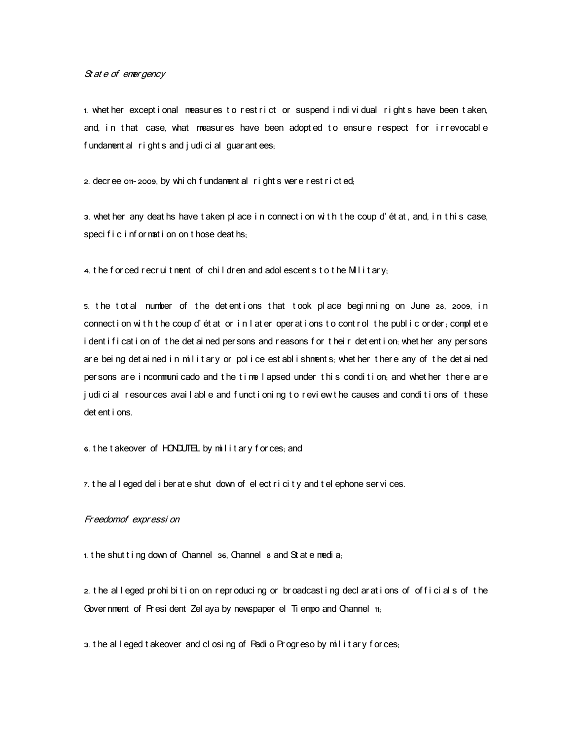$St$  at  $e$  of ener gency

1. whet her except i onal measures to restrict or suspend individual rights have been taken, and, in that case, what measures have been adopted to ensure respect for irrevocable f undament al r i ght s and j udi ci al guar ant ees;

2. decree on-2009, by whi ch f undament al right s were rest ricted;

3. whet her any deat hs have t aken pl ace i n connect i on wi t h t he coup d' ét at, and, i n t hi s case, speci f  $i \nci$  nf or mat i on on t hose deat hs;

4. the for ced recruit ment of children and adolescents to the Military,

5. the total number of the detentions that took place beginning on June 28, 2009, in connect i on with the coup d' ét at or in l at er oper at i ons to control the public order, complete i dent i f i cat i on of the det ai ned per sons and r easons f or their det ent i on, whet her any per sons are being det ained in military or police est ablishments, whet her there any of the det ained per sons are incommuni cado and the time I apsed under this condition, and whether there are judi ci al resour ces avail able and funct i oning to review the causes and conditions of these det ent i ons.

6. the t akeover of HONDUTEL by military for ces, and

 $\tau$ . the alleged deliber at e shut down of elect ricity and t elephone services.

# Fr eedomof expr essi on

1. the shut ting down of Channel 36, Channel  $\alpha$  and St at e media;

2. t he al l eged pr ohi bi t i on on r epr oduci ng or br oadcast i ng decl ar at i ons of of f i ci al s of t he Gover nment of Pr esi dent Zel aya by newspaper el  $\overline{\mathrm{I}}$  empo and Channel  $\overline{\mathrm{I}}$ <sub>1;</sub>

3. the alleged takeover and closing of Radio Progreso by military forces;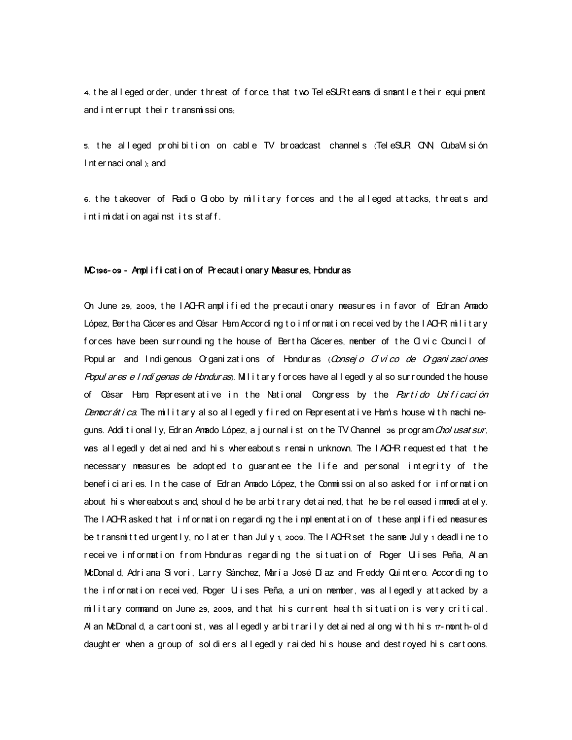4. the all eged or der, under thr eat of f or ce, that two Tel eSURt eans di smant letheir equi pment and inter rupt their transmissions;

5. the alleged prohibition on cable TV broadcast channels (TeleSUR ONN, QubaVisión I nt er naci onal  $x_i$  and

6. the takeover of Radio Globo by military forces and the alleged attacks, threats and i nt i mi dat i on agai nst i t s st af f .

#### MC 196-09 - Ampl i f i cat i on of Precaut i onary Measures, Hondur as

On June 29, 2009, the IACHR amplified the precautionary measures in f avor of Edran Amado López, Bert ha Cácer es and César Ham Accor ding to information received by the IACHR military forces have been surrounding the house of Bertha Cáceres, member of the CI vic Council of Popul ar and Indigenous Organizations of Honduras (Consejo Olvico de Organizaciones Popul ar es e I ndí genas de Hondur as). Mil i t ar y f or ces have allegedly al so sur r ounded t he house of César Ham, Representative in the National Congress by the Partido Unificación Democr át i ca. The milit ary al so all egedly fired on Represent at i ve Ham's house with machineguns. Addi t i onal I y, Edr an Anado López, a j our nal i st on t he TV Channel 36 pr ogr am Chol usat sur, was allegedly det ai ned and his whereabouts remain unknown. The IACHR requested that the necessary measures be adopted to guarantee the life and personal integrity of the benef i ci ar i es. In t he case of Edr an Amado López, t he Commissi on al so asked for information about his whereabouts and, should he be arbit rary det ained, that he be released immediately. The IACHR asked that information regarding the implementation of these amplified measures be transmitted urgently, no later than July 1, 2009. The IACHR set the same July 1 deadline to receive information from Honduras regarding the situation of Roger Ulises Peña, Al an McDonal d, Adriana Si vori, Larry Sánchez, María José Díaz and Freddy Quintero. According to the information received, Roger Ulises Peña, a union member, was allegedly attacked by a military command on June 29, 2009, and that his current health situation is very critical. Al an McDonald, a cartoonist, was allegedly ar bitrarily detained along with his 17-month-old daught er when a group of sol di ers all egedl y rai ded hi s house and dest royed hi s cart oons.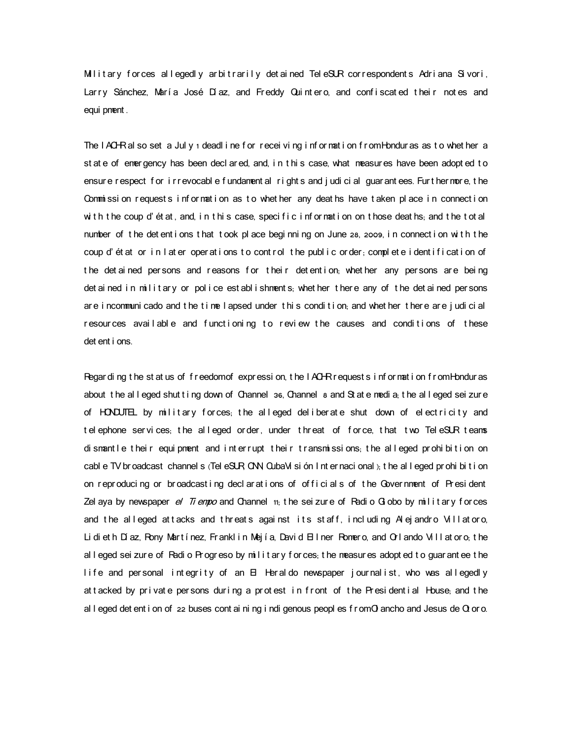Military forces allegedly arbitrarily detained Tele $SLR$  correspondents Adriana Sivori, Larry Sánchez, María José Díaz, and Freddy Quintero, and confiscated their notes and equi pment .

The IACHR al so set a July ideadl ine for receiving information from Honduras as to whet her a st at e of emergency has been decl ar ed, and, in t his case, what measures have been adopt ed to ensure respect for i rrevocable fundament al rights and judicial guarantees. Furt hermore, the Commission requests information as to whether any deaths have taken place in connection with the coup d'état, and, in this case, specific information on those deaths; and the total number of the det entions that took place beginning on June 28, 2009, in connection with the coup d'état or in later operations to control the public order, complete identification of the det ai ned per sons and reasons for their det ent i on, whet her any per sons are being det ai ned in military or police est ablishments, whet her there any of the det ained persons are incommuni cado and the time I apsed under this condition, and whether there are judicial resources available and functioning to review the causes and conditions of these det ent i ons.

Regar ding the status of freedomof expression, the  $I$  ACHR r equests information from Honduras about the all eged shut ting down of Channel 36, Channel 8 and St at e media, the all eged sei zur e of HONDUTEL by military forces, the alleged deliberate shut down of electricity and telephone services; the alleged order, under threat of force, that two TeleSUR teams di smant le their equi pment and interrupt their transmissions; the alleged prohibition on cabl e TV broadcast channel s (Tel eSUR CNN CubaVi si ón I nt er naci onal), t he all eged pr ohi bi t i on on reproducing or broadcast ing decl arations of officials of the Government of President Zel aya by newspaper  $e\ell$  Ti empo and Channel  $t$ <sub>i</sub>, the sei zure of Radi o Gl obo by milit ary forces and the alleged attacks and threats against its staff, including Alejandro Villatoro, Lidieth Díaz, Rony Martínez, Franklin Mejía, David Ell ner Romero, and Orlando Vill at oro, the al I eged sei zure of Radi o Progreso by military for ces, the measures adopted to guarantee the life and personal integrity of an  $\boxminus$  Heraldo newspaper journalist, who was allegedly at t acked by private persons during a protest in front of the Presidential House, and the al l eged det ent i on of  $22$  buses cont ai ni ng i ndi genous peopl es f r omO ancho and Jesus de  $\alpha$  or o.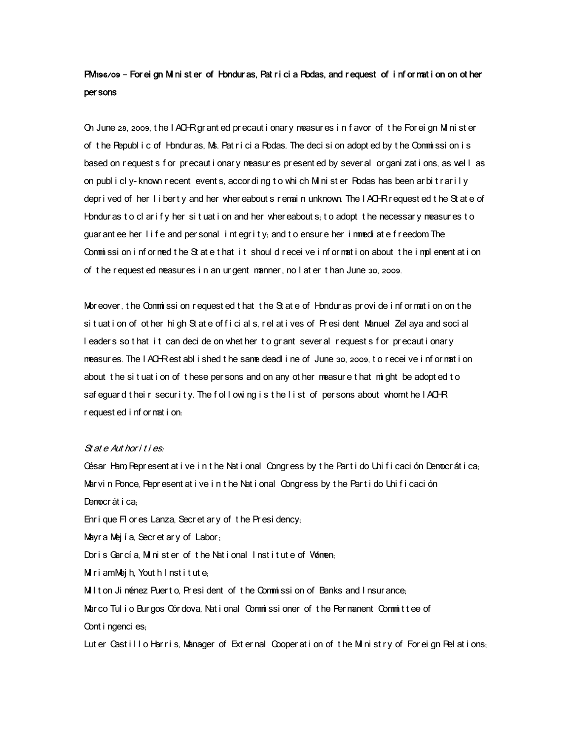# PM 196/09 – For ei gn M ni st er of Hondur as, Pat r i ci a Rodas, and r equest of i nf or nat i on on ot her per sons

On June 28, 2009, the I ACHR gr ant ed pr ecaut i onar y measur es i n f avor of the For ei gn M ni st er of the Republ i c of Hondur as, Ms. Pat rici a Rodas. The decision adopt ed by the Commission is based on request s f or precaut i onar y measures present ed by sever al or gani zat i ons, as well as on publicly-known recent events, according to which M nister Podas has been arbitrarily depr i ved of her I i berty and her whereabout s r emain unknown. The IACHR r equest ed t he St at e of Hondur as to cl ar if y her situation and her whereabouts; to adopt the necessary measures to guar ant ee her life and per sonal integrity; and to ensure her immediate freedom. The Commission informed the State that it should receive information about the implementation of the requested measures in an urgent manner, no later than June 30, 2009.

Mor eover, the Commissi on request ed that the St at e of Hondur as provide information on the si t uat i on of ot her hi gh St at e of f i ci al s, r el at i ves of Pr esi dent Manuel Zel aya and soci al I eaders so t hat it can decide on whet her to grant several requests for precautionary measur es. The I ACHR est abl i shed t he same deadl i ne of June 30, 2009, t o r ecei ve i nf or mat i on about the situation of these per sons and on any other measure that might be adopted to saf eguard their security. The following is the list of persons about whom the IACHR r equest ed i nf or nat i on:

# $St$  at  $e$  Aut hor i t i es.

César Ham, Represent at ive in the National Congress by the Partido Unificación Democrática; Mar vin Ponce, Represent at i ve in the Nat i onal Congress by the Part i do Unificación Democrática<sub>:</sub>

Enri que FI or es Lanza, Secr et ar y of the Presi dency,

Mayr a Mej í a, Secr et ar y of Labor,

Doris García, Minister of the National Institute of Women;

M r i amMej h, Yout h I nst i t ut  $e_i$ 

Milt on Ji ménez Puerto, President of the Commission of Banks and Insurance,

Marco Tul i o Burgos Córdova, National Commissioner of the Permanent Committee of Cont i ngenci es;

Lut er Castillo Harris, Manager of External Cooperation of the Ministry of Foreign Relations;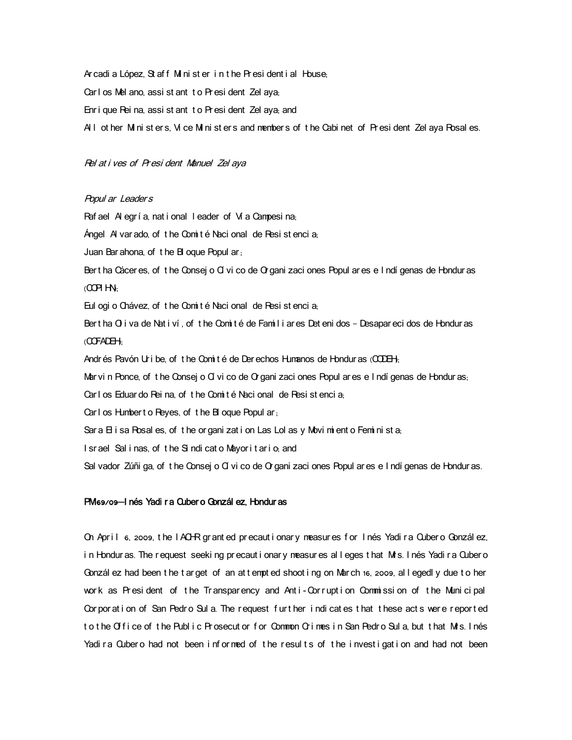Ar cadi a López, St aff M nist er in the President i al House, Carl os Mel ano, assi st ant t o Pr esi dent Zel aya, Enri que Pei na, assi st ant t o Pr esi dent Zel ava, and All ot her M ni st er s, Vi ce M ni st er s and member s of the Cabi net of President Zel aya Posal es.

## Rel at i ves of Presi dent Manuel Zel aya

## Popul ar Leader <sup>s</sup>

Raf ael  $A$  egr í a, nat i onal l eader of  $A$  a Campesi na; Ángel Al var ado, of the Comité Nacional de Resistencia, Juan Bar ahona, of the BI oque Popul ar, Ber t ha Cácer es, of t he Consej o Cí vi co de O gani zaci ones Popul ar es e I ndí genas de Hondur as  $($ COPI HN: Eul ogi o Chávez, of the Comité Naci onal de Resi st enci a. Bert ha Q i va de Nat i ví, of t he Comité de Famil i ar es Det eni dos - Desapar eci dos de Hondur as  $($  $\Gamma$ CFADEH $\cdot$ Andrés Pavón Uribe, of the Comité de Derechos Humanos de Honduras ( $QDEH$ . Mar vi n Ponce, of the Consej o Cí vi co de O gani zaci ones Popul ar es e I ndí genas de Hondur as, Car I os Eduar do Rei na, of t he Comité Naci onal de Resi st enci a. Carl os Humbert o Reyes, of the Bl oque Popul ar, Sar a  $H$  i sa Rosal es, of the or gani zat i on Las Lol as y Movi mi ent o Femi ni st a, I sr ael Sal i nas, of the Sindi cat o Mayor it ario, and Sal vador Zúñi ga, of the Consej o Cí vi co de O gani zaci ones Popul ar es e I ndí genas de Hondur as.

# PM 69/09–I nés Yadi r a Quber o Gonzál ez. Hondur as

On Apr i l 6, 2009, t he IACHR grant ed precaut i onar y measur es for I nés Yadi ra Quber o Gonzál ez, in Honduras. The request seeking precaut i onary measures alleges that Mrs. I nés Yadi ra Qubero Gonzál ez had been the target of an attempted shooting on March 16, 2009, all egedl y due to her work as President of the Transparency and Anti-Corruption Commission of the Municipal Corporation of San Pedro Sul a. The request further indicates that these acts were reported to the Office of the Public Prosecutor for Common Orimes in San Pedro Sula but that Mts. Inés Yadi ra Qubero had not been informed of the results of the investigation and had not been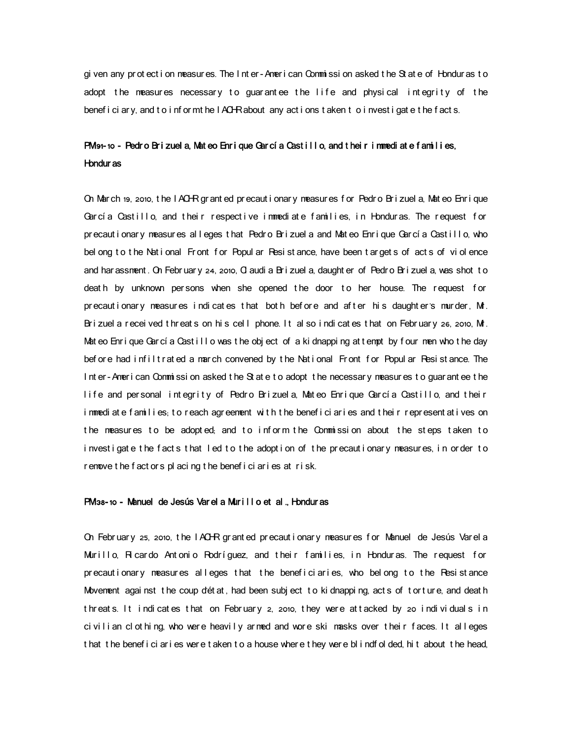gi ven any protect i on measures. The Inter-Amer i can Commissi on asked the St at e of Honduras to adopt the measures necessary to guarantee the life and physical integrity of the benef i ci ar y, and t o i nf or mt he I ACHR about any act i ons t aken t o i nvest i gat e t he f act s,

# $PM$  91-10 - Pedro Brizuel a, Mateo Enrique García Castillo, and their immediate families, Hondur as

On March 19, 2010, the IACHR grant ed precaut i onary measures for Pedro Brizuel a, Mat eo Enri que García Castillo, and their respective immediate families, in Honduras. The request for precautionary measures alleges that Pedro Brizuel a and Mateo Enrique García Castillo, who bel ong to the National Front for Popul ar Resistance, have been targets of acts of violence and har assment. On Febr uar y 24, 2010, O audi a Br i zuel a, daught er of Pedr o Br i zuel a, was shot to death by unknown persons when she opened the door to her house. The request for precautionary measures indicates that both before and after his daughters murder, Mr. Brizuel a recei ved t hreats on his cell phone. It also i ndi cates t hat on February 26, 2010, Mt. Mateo Enrique García Castillo was the object of a kidnapping attempt by four men who the day before had infiltrated a march convened by the National Front for Popular Resistance. The Inter-American Commission asked the State to adopt the necessary measures to guarantee the life and personal integrity of Pedro Brizuela, Mateo Enrique García Castillo, and their immediate families, to reach agreement with the beneficiaries and their representatives on the measures to be adopted; and to inform the Commission about the steps taken to investigate the facts that led to the adoption of the precautionary measures, in order to r emove t he f act or s pl aci ng t he benef i ci ar i es at r i sk .

# PM 38-10 - Manuel de Jesús Var el a Murillo et al .. Hondur as

On February 25, 2010, the I ACHR granted precaut i onary measures for Manuel de Jesús Varel a Murillo, Ri cardo Antonio Rodríguez, and their families, in Honduras. The request for precautionary measures alleges that the beneficiaries, who belong to the Resistance Movement agai nst the coup d'état, had been subj ect to ki dnappi ng, acts of tor ture, and death threats. It indicates that on February 2, 2010, they were attacked by 20 individuals in civilian clothing, who were heavily armed and wore ski masks over their faces. It alleges t hat t he benef i ci ar i es wer e t aken t o a house where t hey were bl i ndf ol ded, hi t about t he head,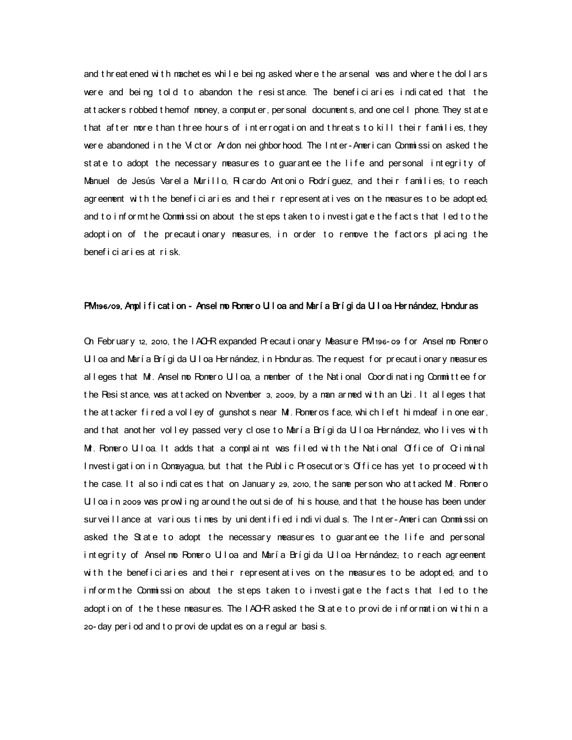and t hr eat ened with machet es while being asked where the ar senal was and where the dollars were and being told to abandon the resistance. The beneficiaries indicated that the at t acker s r obbed t hemof money, a comput er, per sonal document s, and one cell phone. They st at e that after more than three hours of interrogation and threats to kill their families, they were abandoned in the V ct or Ardon nei ghborhood. The Inter-American Commission asked the state to adopt the necessary measures to guarantee the life and personal integrity of Manuel de Jesús Varela Murillo, Ricardo Antonio Rodríguez, and their families, to reach agreement with the beneficiaries and their representatives on the measures to be adopted; and to inform the Commission about the steps taken to investigate the facts that led to the adoption of the precautionary measures, in order to remove the factors placing the benef i ci ar i es at r i sk .

## PM 196/09, Am pl i f i cat i on - Ansel mo Romer o Ull oa and María Brígida Ull oa Hernández, Hondur as

On February 12, 2010, the IACHR expanded Precautionary Measure PM 196-09 for Ansel no Pomero Ul oa and María Brígi da Ul oa Hernández, in Honduras. The request for precautionary measures alleges that M . Ansel mo Romero Uloa, a member of the National Coordinating Committee for the Resistance, was attacked on November 3, 2009, by a man ar med with an Uzi. It alleges that the attacker fired a volley of gunshots near Mt. Pomero's face, which left him deaf in one ear, and that another volley passed very close to María Brígida Uloa Hernández, who lives with Mr. Pomero Ulloa. It adds that a complaint was filed with the National Office of Criminal Investigation in Comayagua, but that the Public Prosecutor's Office has yet to proceed with t he case. It al so i ndi cat es t hat on January 29, 2010, t he same per son who at t acked Mr. Pomer o U I oa i n 2009 was pr owl i ng ar ound t he out si de of hi s house, and t hat t he house has been under sur vei II ance at vari ous times by uni dentified individuals. The Inter-American Commission asked the State to adopt the necessary measures to quarantee the life and personal integrity of Anselmo Romero Ulloa and María Brígida Ulloa Hernández; to reach agreement with the beneficiaries and their representatives on the measures to be adopted; and to inform the Commission about the steps taken to investigate the facts that led to the adoption of the these measures. The IACHR asked the State to provide information within a 20- day per i od and t o pr ovi de updat es on a r egul ar basi s.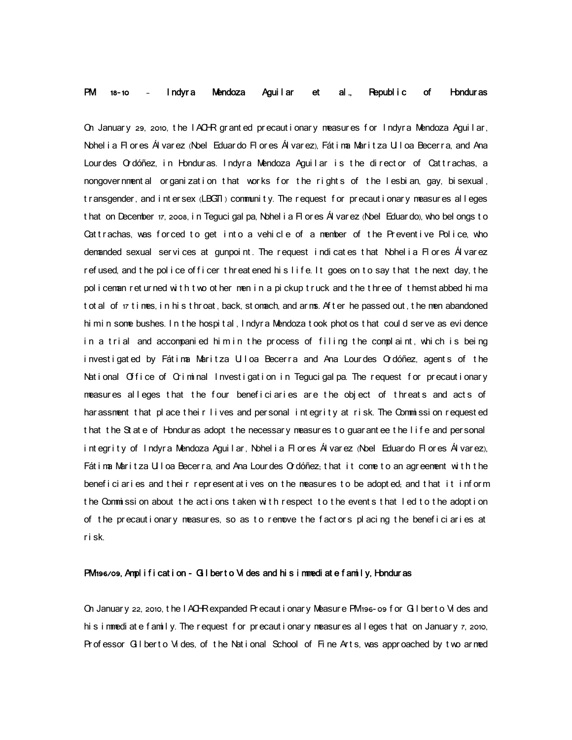# PM 18-10 - Indyra Mendoza Aguilar et al., Republic of Honduras

On January 29, 2010, the IACHR granted precautionary measures for Indyra Mendoza Aguilar, Nohelia Flores Álvarez (Noel Eduardo Flores Álvarez), Fátima Maritza Ulloa Becerra, and Ana Lourdes Ordóñez, in Honduras. Indyra Mendoza Aguilar is the director of Cattrachas, a nongover nment al organization that works for the rights of the lesbian, gay, bisexual, t ransgender, and intersex (LBGT) community. The request for precautionary measures alleges t hat on December 17, 2008, in Teguci gal pa, Nohel i a Fl or es Ál var ez (Noel Eduardo), who bel ongs t o Cattrachas, was forced to get into a vehicle of a member of the Preventive Police, who demanded sexual ser vi ces at gunpoint. The request indicates that Nohelia Flores Ál varez refused, and the police of ficer threatened his life. It goes on to say that the next day, the policeman returned with two other men in a pickup truck and the three of them stabbed him a t ot al of  $17$  times, in his t hr oat, back, st omach, and arms. After he passed out, the men abandoned hi mi n some bushes. In t he hospi t al, I ndyr a Mendoza t ook phot os t hat coul d ser ve as evi dence in a trial and accompanied him in the process of filing the complaint, which is being investigated by Fátima Maritza Ulloa Becerra and Ana Lourdes Ordóñez, agents of the National Office of Criminal Investigation in Tegucigalpa. The request for precautionary measures alleges that the four beneficiaries are the object of threats and acts of har assment that place their lives and personal integrity at risk. The Commission requested that the State of Honduras adopt the necessary measures to guarantee the life and personal integrity of Indyra Mendoza Aguilar, Nohelia Flores Álvarez (Noel Eduardo Flores Álvarez), Fát i ma Maritza Ulloa Becerra, and Ana Lourdes Ordóñez, that it come to an agreement with the benefici aries and their represent at ives on the measures to be adopted; and that it inform the Commission about the actions taken with respect to the events that led to the adoption of the precautionary measures, so as to remove the factors placing the beneficiaries at r i sk.

## PM 196/09, Am plification - G I berto Vides and his immediate family, Honduras

On Januar y 22, 2010, the I ACHR expanded Pr ecaut i onar y Measure PM 196- os f or G I bert o Vi des and hi s i nmedi at e f amil y. The r equest f or pr ecaut i onar y measur es alleges that on January 7, 2010, Pr of essor G I bert o Vides, of the National School of Fine Arts, was approached by two armed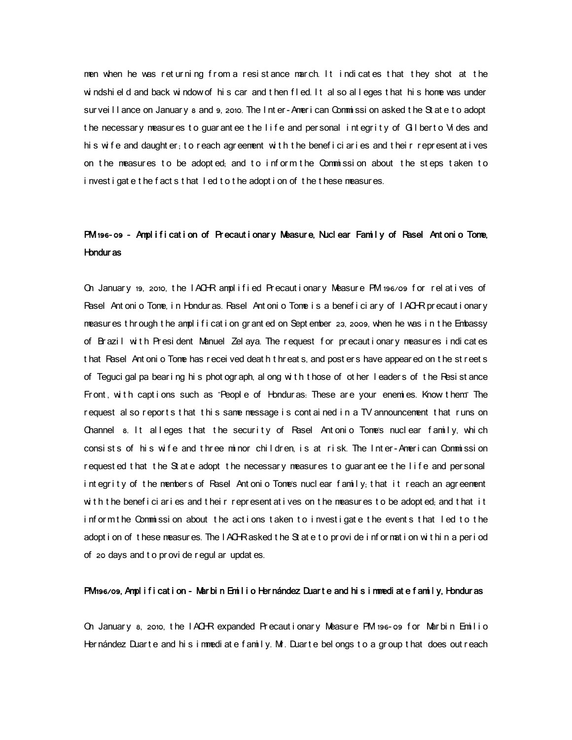men when he was returning from a resistance march. It indicates that they shot at the windshield and back window of his car and then fled. It also alleges that his home was under sur vei II ance on Januar y a and 9, 2010. The I nt er - Amer i can Commi ssi on asked t he St at e t o adopt the necessary measures to guarantee the life and personal integrity of Gilberto Vides and his wife and daught er; to reach agreement with the beneficiaries and their represent at ives on the measures to be adopted; and to inform the Commission about the steps taken to i nvestigate the facts that led to the adoption of the these measures.

# PM 196-09 - Amplification of Precautionary Measure, Nuclear Family of Pasel Antonio Tome, Hondur as

On January 19, 2010, the IACHR amplified Precautionary Measure PM 196/09 for relatives of Rasel Ant oni o Tome, in Honduras. Rasel Ant oni o Tome is a beneficiary of IACHR precautionary measur es t hr ough t he ampl i f i cat i on gr ant ed on Sept ember 23, 2009, when he was i n t he Embassy of Brazi I with President Manuel Zel aya. The request for precautionary measures indicates t hat Rasel Ant oni o Tone has r ecei ved deat h t hr eat s, and post er s have appear ed on t he st r eet s of Teguci gal pa bear ing hi s phot ograph, al ong with t hose of ot her I eader s of the Resi st ance Front, with captions such as "People of Honduras. These are your enemies. Know them The request al so reports that this same message is contained in a TV announcement that runs on Channel 8. It all eges that the security of Rasel Antonio Tome's nuclear family, which consists of his wife and three minor children, is at risk. The Inter-American Commission requested that the State adopt the necessary measures to guarantee the life and personal integrity of the members of Pasel Antonio Tomes nuclear family; that it reach an agreement with the beneficiaries and their representatives on the measures to be adopted; and that it inform the Commission about the actions taken to investigate the events that led to the adopt i on of these measures. The IACHRasked the State to provide information within a period of 20 days and t o pr ovi de r egul ar updat es.

# PM 196/09, Amplification - Mar bin Emilio Her nández Duarte and his in mediate family, Hondur as

On January 8, 2010, the IACHR expanded Precautionary Measure PM 196-09 for Marbin Emilio Her nández Duar te and his im mediate family. Mr. Duar te bel ongs to a group that does out reach